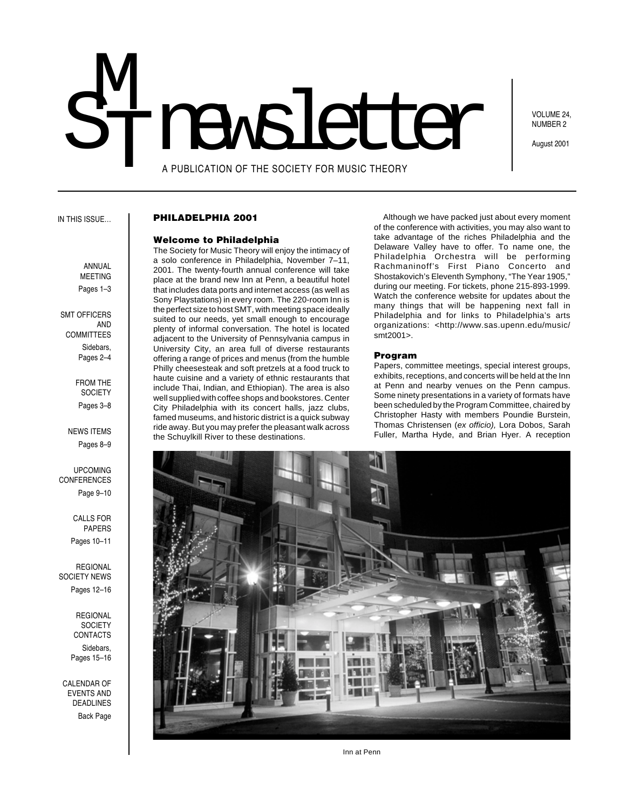# A PUBLICATION OF THE SOCIETY FOR MUSIC THEORY M<br>T STIMER PUBLICATION OF THE SOCIETY FOR MUSIC THEORY

VOLUME 24, NUMBER 2

August 2001

### IN THIS ISSUE…

### **PHILADELPHIA 2001**

### **Welcome to Philadelphia**

The Society for Music Theory will enjoy the intimacy of a solo conference in Philadelphia, November 7–11, 2001. The twenty-fourth annual conference will take place at the brand new Inn at Penn, a beautiful hotel that includes data ports and internet access (as well as Sony Playstations) in every room. The 220-room Inn is the perfect size to host SMT, with meeting space ideally suited to our needs, yet small enough to encourage plenty of informal conversation. The hotel is located adjacent to the University of Pennsylvania campus in University City, an area full of diverse restaurants offering a range of prices and menus (from the humble Philly cheesesteak and soft pretzels at a food truck to haute cuisine and a variety of ethnic restaurants that include Thai, Indian, and Ethiopian). The area is also well supplied with coffee shops and bookstores. Center City Philadelphia with its concert halls, jazz clubs, famed museums, and historic district is a quick subway ride away. But you may prefer the pleasant walk across the Schuylkill River to these destinations.

Although we have packed just about every moment of the conference with activities, you may also want to take advantage of the riches Philadelphia and the Delaware Valley have to offer. To name one, the Philadelphia Orchestra will be performing Rachmaninoff's First Piano Concerto and Shostakovich's Eleventh Symphony, "The Year 1905," during our meeting. For tickets, phone 215-893-1999. Watch the conference website for updates about the many things that will be happening next fall in Philadelphia and for links to Philadelphia's arts organizations: <http://www.sas.upenn.edu/music/ smt2001>.

### **Program**

Papers, committee meetings, special interest groups, exhibits, receptions, and concerts will be held at the Inn at Penn and nearby venues on the Penn campus. Some ninety presentations in a variety of formats have been scheduled by the Program Committee, chaired by Christopher Hasty with members Poundie Burstein, Thomas Christensen (ex officio), Lora Dobos, Sarah Fuller, Martha Hyde, and Brian Hyer. A reception



Inn at Penn

# ANNUAL MEETING Pages 1–3

 SMT OFFICERS AND **COMMITTEES** Sidebars, Pages 2–4

> FROM THE **SOCIETY** Pages 3–8

NEWS ITEMS Pages 8–9

UPCOMING CONFERENCES Page 9–10

> CALLS FOR PAPERS Pages 10–11

REGIONAL SOCIETY NEWS Pages 12–16

> REGIONAL **SOCIETY CONTACTS** Sidebars,

Pages 15–16

CALENDAR OF EVENTS AND DEADLINES Back Page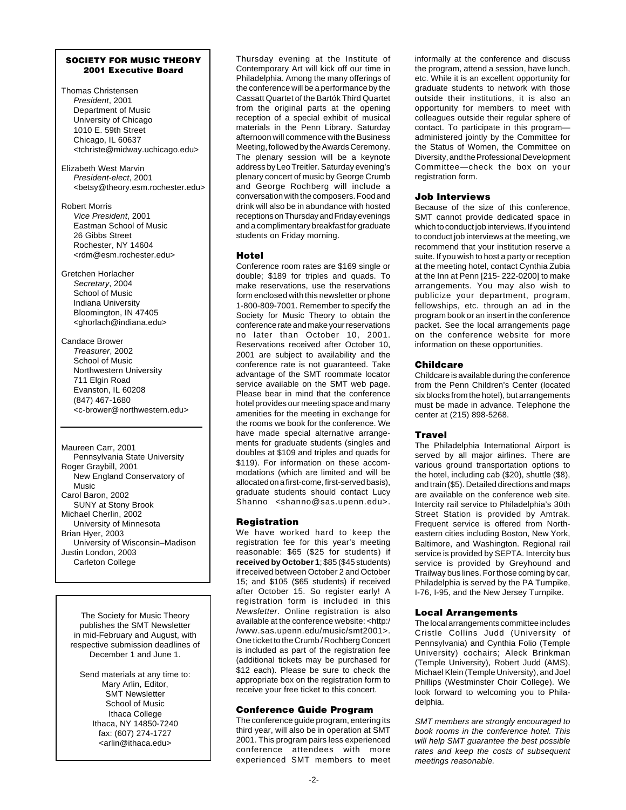### **SOCIETY FOR MUSIC THEORY 2001 Executive Board**

- Thomas Christensen President, 2001 Department of Music University of Chicago 1010 E. 59th Street Chicago, IL 60637 <tchriste@midway.uchicago.edu>
- Elizabeth West Marvin President-elect, 2001 <betsy@theory.esm.rochester.edu>
- Robert Morris Vice President, 2001 Eastman School of Music 26 Gibbs Street Rochester, NY 14604 <rdm@esm.rochester.edu>
- Gretchen Horlacher Secretary, 2004 School of Music Indiana University Bloomington, IN 47405 <ghorlach@indiana.edu>
- Candace Brower Treasurer, 2002 School of Music Northwestern University 711 Elgin Road Evanston, IL 60208 (847) 467-1680 <c-brower@northwestern.edu>

Maureen Carr, 2001 Pennsylvania State University Roger Graybill, 2001 New England Conservatory of Music Carol Baron, 2002 SUNY at Stony Brook Michael Cherlin, 2002 University of Minnesota Brian Hyer, 2003 University of Wisconsin–Madison Justin London, 2003 Carleton College

The Society for Music Theory publishes the SMT Newsletter in mid-February and August, with respective submission deadlines of December 1 and June 1.

Send materials at any time to: Mary Arlin, Editor, SMT Newsletter School of Music Ithaca College Ithaca, NY 14850-7240 fax: (607) 274-1727 <arlin@ithaca.edu>

Thursday evening at the Institute of Contemporary Art will kick off our time in Philadelphia. Among the many offerings of the conference will be a performance by the Cassatt Quartet of the Bartók Third Quartet from the original parts at the opening reception of a special exhibit of musical materials in the Penn Library. Saturday afternoon will commence with the Business Meeting, followed by the Awards Ceremony. The plenary session will be a keynote address by Leo Treitler. Saturday evening's plenary concert of music by George Crumb and George Rochberg will include a conversation with the composers. Food and drink will also be in abundance with hosted receptions on Thursday and Friday evenings and a complimentary breakfast for graduate students on Friday morning.

# **Hotel**

Conference room rates are \$169 single or double; \$189 for triples and quads. To make reservations, use the reservations form enclosed with this newsletter or phone 1-800-809-7001. Remember to specify the Society for Music Theory to obtain the conference rate and make your reservations no later than October 10, 2001. Reservations received after October 10, 2001 are subject to availability and the conference rate is not guaranteed. Take advantage of the SMT roommate locator service available on the SMT web page. Please bear in mind that the conference hotel provides our meeting space and many amenities for the meeting in exchange for the rooms we book for the conference. We have made special alternative arrangements for graduate students (singles and doubles at \$109 and triples and quads for \$119). For information on these accommodations (which are limited and will be allocated on a first-come, first-served basis), graduate students should contact Lucy Shanno <shanno@sas.upenn.edu>.

# **Registration**

We have worked hard to keep the registration fee for this year's meeting reasonable: \$65 (\$25 for students) if **received by October 1**; \$85 (\$45 students) if received between October 2 and October 15; and \$105 (\$65 students) if received after October 15. So register early! A registration form is included in this Newsletter. Online registration is also available at the conference website: <http:/ /www.sas.upenn.edu/music/smt2001>. One ticket to the Crumb / Rochberg Concert is included as part of the registration fee (additional tickets may be purchased for \$12 each). Please be sure to check the appropriate box on the registration form to receive your free ticket to this concert.

# **Conference Guide Program**

The conference guide program, entering its third year, will also be in operation at SMT 2001. This program pairs less experienced conference attendees with more experienced SMT members to meet informally at the conference and discuss the program, attend a session, have lunch, etc. While it is an excellent opportunity for graduate students to network with those outside their institutions, it is also an opportunity for members to meet with colleagues outside their regular sphere of contact. To participate in this program administered jointly by the Committee for the Status of Women, the Committee on Diversity, and the Professional Development Committee—check the box on your registration form.

# **Job Interviews**

Because of the size of this conference, SMT cannot provide dedicated space in which to conduct job interviews. If you intend to conduct job interviews at the meeting, we recommend that your institution reserve a suite. If you wish to host a party or reception at the meeting hotel, contact Cynthia Zubia at the Inn at Penn [215- 222-0200] to make arrangements. You may also wish to publicize your department, program, fellowships, etc. through an ad in the program book or an insert in the conference packet. See the local arrangements page on the conference website for more information on these opportunities.

# **Childcare**

Childcare is available during the conference from the Penn Children's Center (located six blocks from the hotel), but arrangements must be made in advance. Telephone the center at (215) 898-5268.

# **Travel**

The Philadelphia International Airport is served by all major airlines. There are various ground transportation options to the hotel, including cab (\$20), shuttle (\$8), and train (\$5). Detailed directions and maps are available on the conference web site. Intercity rail service to Philadelphia's 30th Street Station is provided by Amtrak. Frequent service is offered from Northeastern cities including Boston, New York, Baltimore, and Washington. Regional rail service is provided by SEPTA. Intercity bus service is provided by Greyhound and Trailway bus lines. For those coming by car, Philadelphia is served by the PA Turnpike, I-76, I-95, and the New Jersey Turnpike.

# **Local Arrangements**

The local arrangements committee includes Cristle Collins Judd (University of Pennsylvania) and Cynthia Folio (Temple University) cochairs; Aleck Brinkman (Temple University), Robert Judd (AMS), Michael Klein (Temple University), and Joel Phillips (Westminster Choir College). We look forward to welcoming you to Philadelphia.

SMT members are strongly encouraged to book rooms in the conference hotel. This will help SMT guarantee the best possible rates and keep the costs of subsequent meetings reasonable.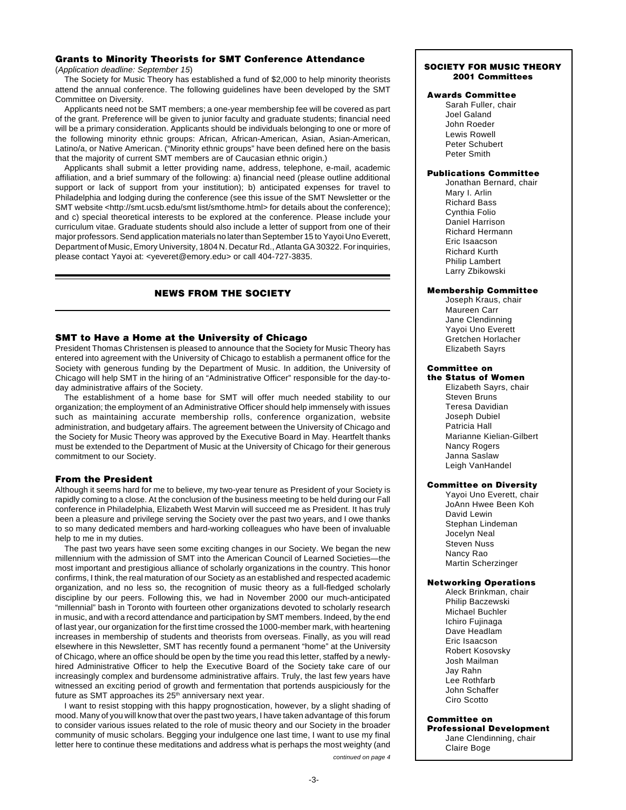# **Grants to Minority Theorists for SMT Conference Attendance**

(Application deadline: September 15)

The Society for Music Theory has established a fund of \$2,000 to help minority theorists attend the annual conference. The following guidelines have been developed by the SMT Committee on Diversity.

Applicants need not be SMT members; a one-year membership fee will be covered as part of the grant. Preference will be given to junior faculty and graduate students; financial need will be a primary consideration. Applicants should be individuals belonging to one or more of the following minority ethnic groups: African, African-American, Asian, Asian-American, Latino/a, or Native American. ("Minority ethnic groups" have been defined here on the basis that the majority of current SMT members are of Caucasian ethnic origin.)

Applicants shall submit a letter providing name, address, telephone, e-mail, academic affiliation, and a brief summary of the following: a) financial need (please outline additional support or lack of support from your institution); b) anticipated expenses for travel to Philadelphia and lodging during the conference (see this issue of the SMT Newsletter or the SMT website <http://smt.ucsb.edu/smt list/smthome.html> for details about the conference); and c) special theoretical interests to be explored at the conference. Please include your curriculum vitae. Graduate students should also include a letter of support from one of their major professors. Send application materials no later than September 15 to Yayoi Uno Everett, Department of Music, Emory University, 1804 N. Decatur Rd., Atlanta GA 30322. For inquiries, please contact Yayoi at: <yeveret@emory.edu> or call 404-727-3835.

# **NEWS FROM THE SOCIETY**

# **SMT to Have a Home at the University of Chicago**

President Thomas Christensen is pleased to announce that the Society for Music Theory has entered into agreement with the University of Chicago to establish a permanent office for the Society with generous funding by the Department of Music. In addition, the University of Chicago will help SMT in the hiring of an "Administrative Officer" responsible for the day-today administrative affairs of the Society.

The establishment of a home base for SMT will offer much needed stability to our organization; the employment of an Administrative Officer should help immensely with issues such as maintaining accurate membership rolls, conference organization, website administration, and budgetary affairs. The agreement between the University of Chicago and the Society for Music Theory was approved by the Executive Board in May. Heartfelt thanks must be extended to the Department of Music at the University of Chicago for their generous commitment to our Society.

# **From the President**

Although it seems hard for me to believe, my two-year tenure as President of your Society is rapidly coming to a close. At the conclusion of the business meeting to be held during our Fall conference in Philadelphia, Elizabeth West Marvin will succeed me as President. It has truly been a pleasure and privilege serving the Society over the past two years, and I owe thanks to so many dedicated members and hard-working colleagues who have been of invaluable help to me in my duties.

The past two years have seen some exciting changes in our Society. We began the new millennium with the admission of SMT into the American Council of Learned Societies—the most important and prestigious alliance of scholarly organizations in the country. This honor confirms, I think, the real maturation of our Society as an established and respected academic organization, and no less so, the recognition of music theory as a full-fledged scholarly discipline by our peers. Following this, we had in November 2000 our much-anticipated "millennial" bash in Toronto with fourteen other organizations devoted to scholarly research in music, and with a record attendance and participation by SMT members. Indeed, by the end of last year, our organization for the first time crossed the 1000-member mark, with heartening increases in membership of students and theorists from overseas. Finally, as you will read elsewhere in this Newsletter, SMT has recently found a permanent "home" at the University of Chicago, where an office should be open by the time you read this letter, staffed by a newlyhired Administrative Officer to help the Executive Board of the Society take care of our increasingly complex and burdensome administrative affairs. Truly, the last few years have witnessed an exciting period of growth and fermentation that portends auspiciously for the future as SMT approaches its 25<sup>th</sup> anniversary next year.

continued on page 4 I want to resist stopping with this happy prognostication, however, by a slight shading of mood. Many of you will know that over the past two years, I have taken advantage of this forum to consider various issues related to the role of music theory and our Society in the broader community of music scholars. Begging your indulgence one last time, I want to use my final letter here to continue these meditations and address what is perhaps the most weighty (and

# **SOCIETY FOR MUSIC THEORY 2001 Committees**

### **Awards Committee**

Sarah Fuller, chair Joel Galand John Roeder Lewis Rowell Peter Schubert Peter Smith

# **Publications Committee**

Jonathan Bernard, chair Mary I. Arlin Richard Bass Cynthia Folio Daniel Harrison Richard Hermann Eric Isaacson Richard Kurth Philip Lambert Larry Zbikowski

### **Membership Committee**

Joseph Kraus, chair Maureen Carr Jane Clendinning Yayoi Uno Everett Gretchen Horlacher Elizabeth Sayrs

# **Committee on**

**the Status of Women** Elizabeth Sayrs, chair Steven Bruns Teresa Davidian Joseph Dubiel Patricia Hall Marianne Kielian-Gilbert Nancy Rogers Janna Saslaw Leigh VanHandel

## **Committee on Diversity**

Yayoi Uno Everett, chair JoAnn Hwee Been Koh David Lewin Stephan Lindeman Jocelyn Neal Steven Nuss Nancy Rao Martin Scherzinger

## **Networking Operations**

Aleck Brinkman, chair Philip Baczewski Michael Buchler Ichiro Fujinaga Dave Headlam Eric Isaacson Robert Kosovsky Josh Mailman Jay Rahn Lee Rothfarb John Schaffer Ciro Scotto

### **Committee on**

**Professional Development** Jane Clendinning, chair Claire Boge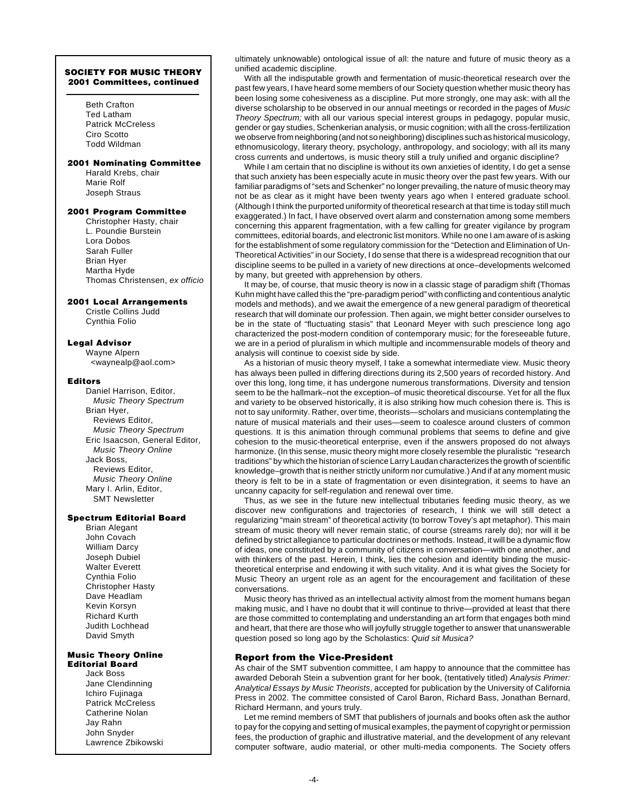### **SOCIETY FOR MUSIC THEORY 2001 Committees, continued**

Beth Crafton Ted Latham Patrick McCreless Ciro Scotto Todd Wildman

### **2001 Nominating Committee**

Harald Krebs, chair Marie Rolf Joseph Straus

### **2001 Program Committee**

Christopher Hasty, chair L. Poundie Burstein Lora Dobos Sarah Fuller Brian Hyer Martha Hyde Thomas Christensen, ex officio

### **2001 Local Arrangements**

Cristle Collins Judd Cynthia Folio

# **Legal Advisor**

Wayne Alpern <waynealp@aol.com>

### **Editors**

Daniel Harrison, Editor, Music Theory Spectrum Brian Hyer, Reviews Editor, Music Theory Spectrum Eric Isaacson, General Editor, Music Theory Online Jack Boss, Reviews Editor, Music Theory Online Mary I. Arlin, Editor, SMT Newsletter

### **Spectrum Editorial Board**

Brian Alegant John Covach William Darcy Joseph Dubiel Walter Everett Cynthia Folio Christopher Hasty Dave Headlam Kevin Korsyn Richard Kurth Judith Lochhead David Smyth

### **Music Theory Online Editorial Board**

Jack Boss Jane Clendinning Ichiro Fujinaga Patrick McCreless Catherine Nolan Jay Rahn John Snyder Lawrence Zbikowski ultimately unknowable) ontological issue of all: the nature and future of music theory as a unified academic discipline.

With all the indisputable growth and fermentation of music-theoretical research over the past few years, I have heard some members of our Society question whether music theory has been losing some cohesiveness as a discipline. Put more strongly, one may ask: with all the diverse scholarship to be observed in our annual meetings or recorded in the pages of Music Theory Spectrum; with all our various special interest groups in pedagogy, popular music, gender or gay studies, Schenkerian analysis, or music cognition; with all the cross-fertilization we observe from neighboring (and not so neighboring) disciplines such as historical musicology, ethnomusicology, literary theory, psychology, anthropology, and sociology; with all its many cross currents and undertows, is music theory still a truly unified and organic discipline?

While I am certain that no discipline is without its own anxieties of identity, I do get a sense that such anxiety has been especially acute in music theory over the past few years. With our familiar paradigms of "sets and Schenker" no longer prevailing, the nature of music theory may not be as clear as it might have been twenty years ago when I entered graduate school. (Although I think the purported uniformity of theoretical research at that time is today still much exaggerated.) In fact, I have observed overt alarm and consternation among some members concerning this apparent fragmentation, with a few calling for greater vigilance by program committees, editorial boards, and electronic list monitors. While no one I am aware of is asking for the establishment of some regulatory commission for the "Detection and Elimination of Un-Theoretical Activities" in our Society, I do sense that there is a widespread recognition that our discipline seems to be pulled in a variety of new directions at once–developments welcomed by many, but greeted with apprehension by others.

It may be, of course, that music theory is now in a classic stage of paradigm shift (Thomas Kuhn might have called this the "pre-paradigm period" with conflicting and contentious analytic models and methods), and we await the emergence of a new general paradigm of theoretical research that will dominate our profession. Then again, we might better consider ourselves to be in the state of "fluctuating stasis" that Leonard Meyer with such prescience long ago characterized the post-modern condition of contemporary music; for the foreseeable future, we are in a period of pluralism in which multiple and incommensurable models of theory and analysis will continue to coexist side by side.

As a historian of music theory myself, I take a somewhat intermediate view. Music theory has always been pulled in differing directions during its 2,500 years of recorded history. And over this long, long time, it has undergone numerous transformations. Diversity and tension seem to be the hallmark–not the exception–of music theoretical discourse. Yet for all the flux and variety to be observed historically, it is also striking how much cohesion there is. This is not to say uniformity. Rather, over time, theorists—scholars and musicians contemplating the nature of musical materials and their uses—seem to coalesce around clusters of common questions. It is this animation through communal problems that seems to define and give cohesion to the music-theoretical enterprise, even if the answers proposed do not always harmonize. (In this sense, music theory might more closely resemble the pluralistic "research traditions" by which the historian of science Larry Laudan characterizes the growth of scientific knowledge–growth that is neither strictly uniform nor cumulative.) And if at any moment music theory is felt to be in a state of fragmentation or even disintegration, it seems to have an uncanny capacity for self-regulation and renewal over time.

Thus, as we see in the future new intellectual tributaries feeding music theory, as we discover new configurations and trajectories of research, I think we will still detect a regularizing "main stream" of theoretical activity (to borrow Tovey's apt metaphor). This main stream of music theory will never remain static, of course (streams rarely do); nor will it be defined by strict allegiance to particular doctrines or methods. Instead, it will be a dynamic flow of ideas, one constituted by a community of citizens in conversation—with one another, and with thinkers of the past. Herein, I think, lies the cohesion and identity binding the musictheoretical enterprise and endowing it with such vitality. And it is what gives the Society for Music Theory an urgent role as an agent for the encouragement and facilitation of these conversations.

Music theory has thrived as an intellectual activity almost from the moment humans began making music, and I have no doubt that it will continue to thrive—provided at least that there are those committed to contemplating and understanding an art form that engages both mind and heart, that there are those who will joyfully struggle together to answer that unanswerable question posed so long ago by the Scholastics: Quid sit Musica?

## **Report from the Vice-President**

As chair of the SMT subvention committee, I am happy to announce that the committee has awarded Deborah Stein a subvention grant for her book, (tentatively titled) Analysis Primer: Analytical Essays by Music Theorists, accepted for publication by the University of California Press in 2002. The committee consisted of Carol Baron, Richard Bass, Jonathan Bernard, Richard Hermann, and yours truly.

Let me remind members of SMT that publishers of journals and books often ask the author to pay for the copying and setting of musical examples, the payment of copyright or permission fees, the production of graphic and illustrative material, and the development of any relevant computer software, audio material, or other multi-media components. The Society offers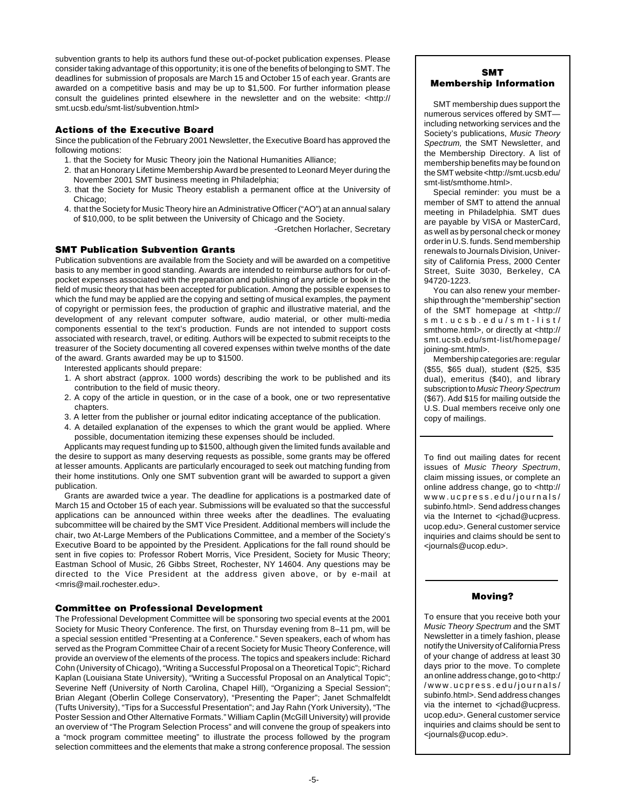subvention grants to help its authors fund these out-of-pocket publication expenses. Please consider taking advantage of this opportunity; it is one of the benefits of belonging to SMT. The deadlines for submission of proposals are March 15 and October 15 of each year. Grants are awarded on a competitive basis and may be up to \$1,500. For further information please consult the guidelines printed elsewhere in the newsletter and on the website: <http:// smt.ucsb.edu/smt-list/subvention.html>

# **Actions of the Executive Board**

Since the publication of the February 2001 Newsletter, the Executive Board has approved the following motions:

- 1. that the Society for Music Theory join the National Humanities Alliance;
- 2. that an Honorary Lifetime Membership Award be presented to Leonard Meyer during the November 2001 SMT business meeting in Philadelphia;
- 3. that the Society for Music Theory establish a permanent office at the University of Chicago;
- 4. that the Society for Music Theory hire an Administrative Officer ("AO") at an annual salary of \$10,000, to be split between the University of Chicago and the Society.

-Gretchen Horlacher, Secretary

# **SMT Publication Subvention Grants**

Publication subventions are available from the Society and will be awarded on a competitive basis to any member in good standing. Awards are intended to reimburse authors for out-ofpocket expenses associated with the preparation and publishing of any article or book in the field of music theory that has been accepted for publication. Among the possible expenses to which the fund may be applied are the copying and setting of musical examples, the payment of copyright or permission fees, the production of graphic and illustrative material, and the development of any relevant computer software, audio material, or other multi-media components essential to the text's production. Funds are not intended to support costs associated with research, travel, or editing. Authors will be expected to submit receipts to the treasurer of the Society documenting all covered expenses within twelve months of the date of the award. Grants awarded may be up to \$1500.

- Interested applicants should prepare:
- 1. A short abstract (approx. 1000 words) describing the work to be published and its contribution to the field of music theory.
- 2. A copy of the article in question, or in the case of a book, one or two representative chapters.
- 3. A letter from the publisher or journal editor indicating acceptance of the publication.
- 4. A detailed explanation of the expenses to which the grant would be applied. Where possible, documentation itemizing these expenses should be included.

Applicants may request funding up to \$1500, although given the limited funds available and the desire to support as many deserving requests as possible, some grants may be offered at lesser amounts. Applicants are particularly encouraged to seek out matching funding from their home institutions. Only one SMT subvention grant will be awarded to support a given publication.

Grants are awarded twice a year. The deadline for applications is a postmarked date of March 15 and October 15 of each year. Submissions will be evaluated so that the successful applications can be announced within three weeks after the deadlines. The evaluating subcommittee will be chaired by the SMT Vice President. Additional members will include the chair, two At-Large Members of the Publications Committee, and a member of the Society's Executive Board to be appointed by the President. Applications for the fall round should be sent in five copies to: Professor Robert Morris, Vice President, Society for Music Theory; Eastman School of Music, 26 Gibbs Street, Rochester, NY 14604. Any questions may be directed to the Vice President at the address given above, or by e-mail at <mris@mail.rochester.edu>.

# **Committee on Professional Development**

The Professional Development Committee will be sponsoring two special events at the 2001 Society for Music Theory Conference. The first, on Thursday evening from 8–11 pm, will be a special session entitled "Presenting at a Conference." Seven speakers, each of whom has served as the Program Committee Chair of a recent Society for Music Theory Conference, will provide an overview of the elements of the process. The topics and speakers include: Richard Cohn (University of Chicago), "Writing a Successful Proposal on a Theoretical Topic"; Richard Kaplan (Louisiana State University), "Writing a Successful Proposal on an Analytical Topic"; Severine Neff (University of North Carolina, Chapel Hill), "Organizing a Special Session"; Brian Alegant (Oberlin College Conservatory), "Presenting the Paper"; Janet Schmalfeldt (Tufts University), "Tips for a Successful Presentation"; and Jay Rahn (York University), "The Poster Session and Other Alternative Formats." William Caplin (McGill University) will provide an overview of "The Program Selection Process" and will convene the group of speakers into a "mock program committee meeting" to illustrate the process followed by the program selection committees and the elements that make a strong conference proposal. The session

# **SMT Membership Information**

SMT membership dues support the numerous services offered by SMT including networking services and the Society's publications, Music Theory Spectrum, the SMT Newsletter, and the Membership Directory. A list of membership benefits may be found on the SMT website <http://smt.ucsb.edu/ smt-list/smthome.html>.

Special reminder: you must be a member of SMT to attend the annual meeting in Philadelphia. SMT dues are payable by VISA or MasterCard, as well as by personal check or money order in U.S. funds. Send membership renewals to Journals Division, University of California Press, 2000 Center Street, Suite 3030, Berkeley, CA 94720-1223.

You can also renew your membership through the "membership" section of the SMT homepage at <http:// smt.ucsb.edu/smt-list/ smthome.html>, or directly at <http:// smt.ucsb.edu/smt-list/homepage/ joining-smt.html>.

Membership categories are: regular (\$55, \$65 dual), student (\$25, \$35 dual), emeritus (\$40), and library subscription to Music Theory Spectrum (\$67). Add \$15 for mailing outside the U.S. Dual members receive only one copy of mailings.

To find out mailing dates for recent issues of Music Theory Spectrum, claim missing issues, or complete an online address change, go to <http:// www.ucpress.edu/journals/ subinfo.html>. Send address changes via the Internet to <jchad@ucpress. ucop.edu>. General customer service inquiries and claims should be sent to <journals@ucop.edu>.

# **Moving?**

To ensure that you receive both your Music Theory Spectrum and the SMT Newsletter in a timely fashion, please notify the University of California Press of your change of address at least 30 days prior to the move. To complete an online address change, go to <http:/ /www.ucpress.edu/journals/ subinfo.html>. Send address changes via the internet to  $\lt$ ichad@ucpress. ucop.edu>. General customer service inquiries and claims should be sent to <journals@ucop.edu>.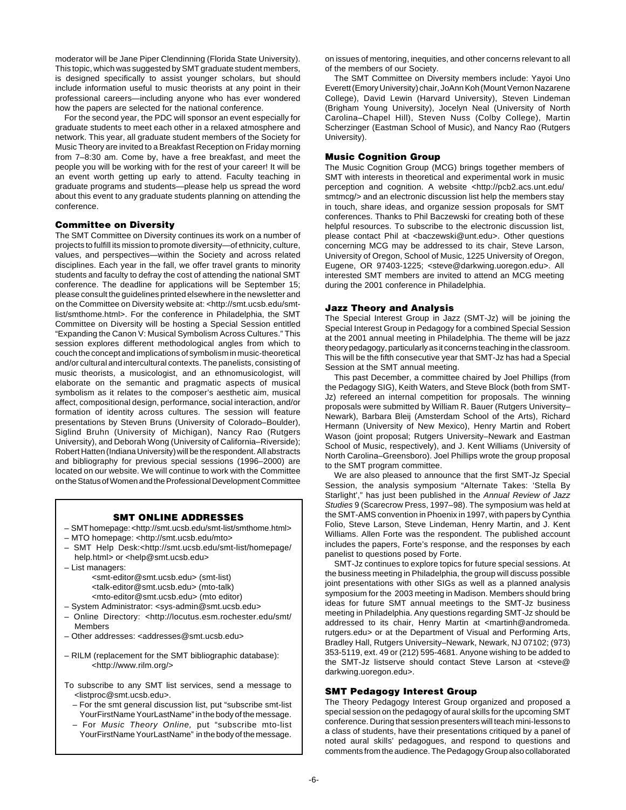moderator will be Jane Piper Clendinning (Florida State University). This topic, which was suggested by SMT graduate student members, is designed specifically to assist younger scholars, but should include information useful to music theorists at any point in their professional careers—including anyone who has ever wondered how the papers are selected for the national conference.

For the second year, the PDC will sponsor an event especially for graduate students to meet each other in a relaxed atmosphere and network. This year, all graduate student members of the Society for Music Theory are invited to a Breakfast Reception on Friday morning from 7–8:30 am. Come by, have a free breakfast, and meet the people you will be working with for the rest of your career! It will be an event worth getting up early to attend. Faculty teaching in graduate programs and students—please help us spread the word about this event to any graduate students planning on attending the conference.

# **Committee on Diversity**

The SMT Committee on Diversity continues its work on a number of projects to fulfill its mission to promote diversity—of ethnicity, culture, values, and perspectives—within the Society and across related disciplines. Each year in the fall, we offer travel grants to minority students and faculty to defray the cost of attending the national SMT conference. The deadline for applications will be September 15; please consult the guidelines printed elsewhere in the newsletter and on the Committee on Diversity website at: <http://smt.ucsb.edu/smtlist/smthome.html>. For the conference in Philadelphia, the SMT Committee on Diversity will be hosting a Special Session entitled "Expanding the Canon V: Musical Symbolism Across Cultures." This session explores different methodological angles from which to couch the concept and implications of symbolism in music-theoretical and/or cultural and intercultural contexts. The panelists, consisting of music theorists, a musicologist, and an ethnomusicologist, will elaborate on the semantic and pragmatic aspects of musical symbolism as it relates to the composer's aesthetic aim, musical affect, compositional design, performance, social interaction, and/or formation of identity across cultures. The session will feature presentations by Steven Bruns (University of Colorado–Boulder), Siglind Bruhn (University of Michigan), Nancy Rao (Rutgers University), and Deborah Wong (University of California–Riverside); Robert Hatten (Indiana University) will be the respondent. All abstracts and bibliography for previous special sessions (1996–2000) are located on our website. We will continue to work with the Committee on the Status of Women and the Professional Development Committee

## **SMT ONLINE ADDRESSES**

- SMT homepage: <http://smt.ucsb.edu/smt-list/smthome.html>
- MTO homepage: <http://smt.ucsb.edu/mto>
- SMT Help Desk:<http://smt.ucsb.edu/smt-list/homepage/ help.html> or <help@smt.ucsb.edu>
- List managers: <smt-editor@smt.ucsb.edu> (smt-list) <talk-editor@smt.ucsb.edu> (mto-talk) <mto-editor@smt.ucsb.edu> (mto editor)
- System Administrator: <sys-admin@smt.ucsb.edu>
- Online Directory: <http://locutus.esm.rochester.edu/smt/ Members
- Other addresses: <addresses@smt.ucsb.edu>
- RILM (replacement for the SMT bibliographic database): <http://www.rilm.org/>
- To subscribe to any SMT list services, send a message to <listproc@smt.ucsb.edu>.
	- For the smt general discussion list, put "subscribe smt-list YourFirstName YourLastName" in the body of the message.
	- For Music Theory Online, put "subscribe mto-list YourFirstName YourLastName" in the body of the message.

on issues of mentoring, inequities, and other concerns relevant to all of the members of our Society.

The SMT Committee on Diversity members include: Yayoi Uno Everett (Emory University) chair, JoAnn Koh (Mount Vernon Nazarene College), David Lewin (Harvard University), Steven Lindeman (Brigham Young University), Jocelyn Neal (University of North Carolina–Chapel Hill), Steven Nuss (Colby College), Martin Scherzinger (Eastman School of Music), and Nancy Rao (Rutgers University).

## **Music Cognition Group**

The Music Cognition Group (MCG) brings together members of SMT with interests in theoretical and experimental work in music perception and cognition. A website <http://pcb2.acs.unt.edu/ smtmcg/> and an electronic discussion list help the members stay in touch, share ideas, and organize session proposals for SMT conferences. Thanks to Phil Baczewski for creating both of these helpful resources. To subscribe to the electronic discussion list, please contact Phil at <baczewski@unt.edu>. Other questions concerning MCG may be addressed to its chair, Steve Larson, University of Oregon, School of Music, 1225 University of Oregon, Eugene, OR 97403-1225; <steve@darkwing.uoregon.edu>. All interested SMT members are invited to attend an MCG meeting during the 2001 conference in Philadelphia.

### **Jazz Theory and Analysis**

The Special Interest Group in Jazz (SMT-Jz) will be joining the Special Interest Group in Pedagogy for a combined Special Session at the 2001 annual meeting in Philadelphia. The theme will be jazz theory pedagogy, particularly as it concerns teaching in the classroom. This will be the fifth consecutive year that SMT-Jz has had a Special Session at the SMT annual meeting.

This past December, a committee chaired by Joel Phillips (from the Pedagogy SIG), Keith Waters, and Steve Block (both from SMT-Jz) refereed an internal competition for proposals. The winning proposals were submitted by William R. Bauer (Rutgers University– Newark), Barbara Bleij (Amsterdam School of the Arts), Richard Hermann (University of New Mexico), Henry Martin and Robert Wason (joint proposal; Rutgers University–Newark and Eastman School of Music, respectively), and J. Kent Williams (University of North Carolina–Greensboro). Joel Phillips wrote the group proposal to the SMT program committee.

We are also pleased to announce that the first SMT-Jz Special Session, the analysis symposium "Alternate Takes: 'Stella By Starlight'," has just been published in the Annual Review of Jazz Studies 9 (Scarecrow Press, 1997–98). The symposium was held at the SMT-AMS convention in Phoenix in 1997, with papers by Cynthia Folio, Steve Larson, Steve Lindeman, Henry Martin, and J. Kent Williams. Allen Forte was the respondent. The published account includes the papers, Forte's response, and the responses by each panelist to questions posed by Forte.

SMT-Jz continues to explore topics for future special sessions. At the business meeting in Philadelphia, the group will discuss possible joint presentations with other SIGs as well as a planned analysis symposium for the 2003 meeting in Madison. Members should bring ideas for future SMT annual meetings to the SMT-Jz business meeting in Philadelphia. Any questions regarding SMT-Jz should be addressed to its chair, Henry Martin at <martinh@andromeda. rutgers.edu> or at the Department of Visual and Performing Arts, Bradley Hall, Rutgers University–Newark, Newark, NJ 07102; (973) 353-5119, ext. 49 or (212) 595-4681. Anyone wishing to be added to the SMT-Jz listserve should contact Steve Larson at <steve@ darkwing.uoregon.edu>.

# **SMT Pedagogy Interest Group**

The Theory Pedagogy Interest Group organized and proposed a special session on the pedagogy of aural skills for the upcoming SMT conference. During that session presenters will teach mini-lessons to a class of students, have their presentations critiqued by a panel of noted aural skills' pedagogues, and respond to questions and comments from the audience. The Pedagogy Group also collaborated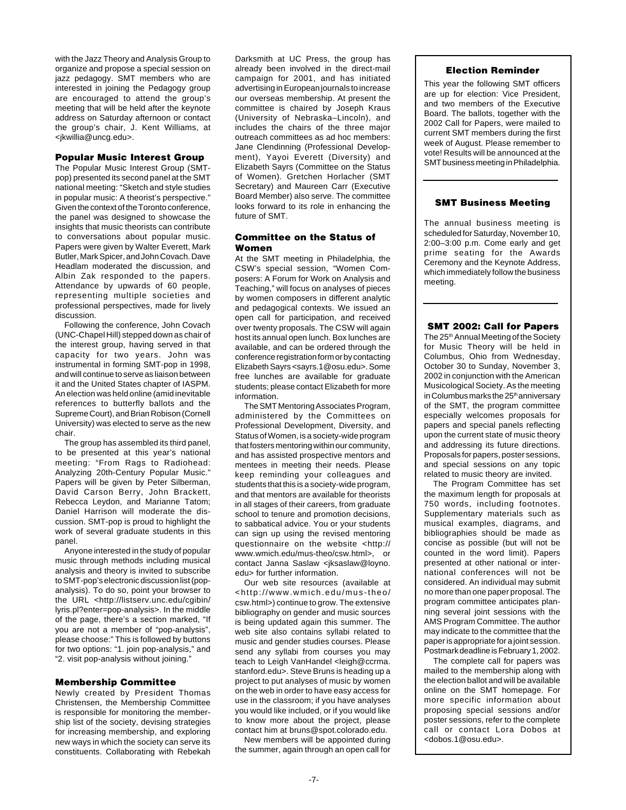with the Jazz Theory and Analysis Group to organize and propose a special session on jazz pedagogy. SMT members who are interested in joining the Pedagogy group are encouraged to attend the group's meeting that will be held after the keynote address on Saturday afternoon or contact the group's chair, J. Kent Williams, at <jkwillia@uncg.edu>.

# **Popular Music Interest Group**

The Popular Music Interest Group (SMTpop) presented its second panel at the SMT national meeting: "Sketch and style studies in popular music: A theorist's perspective." Given the context of the Toronto conference, the panel was designed to showcase the insights that music theorists can contribute to conversations about popular music. Papers were given by Walter Everett, Mark Butler, Mark Spicer, and John Covach. Dave Headlam moderated the discussion, and Albin Zak responded to the papers. Attendance by upwards of 60 people, representing multiple societies and professional perspectives, made for lively discussion.

Following the conference, John Covach (UNC-Chapel Hill) stepped down as chair of the interest group, having served in that capacity for two years. John was instrumental in forming SMT-pop in 1998, and will continue to serve as liaison between it and the United States chapter of IASPM. An election was held online (amid inevitable references to butterfly ballots and the Supreme Court), and Brian Robison (Cornell University) was elected to serve as the new chair.

The group has assembled its third panel, to be presented at this year's national meeting: "From Rags to Radiohead: Analyzing 20th-Century Popular Music." Papers will be given by Peter Silberman, David Carson Berry, John Brackett, Rebecca Leydon, and Marianne Tatom; Daniel Harrison will moderate the discussion. SMT-pop is proud to highlight the work of several graduate students in this panel.

Anyone interested in the study of popular music through methods including musical analysis and theory is invited to subscribe to SMT-pop's electronic discussion list (popanalysis). To do so, point your browser to the URL <http://listserv.unc.edu/caibin/ lyris.pl?enter=pop-analysis>. In the middle of the page, there's a section marked, "If you are not a member of "pop-analysis", please choose:" This is followed by buttons for two options: "1. join pop-analysis," and "2. visit pop-analysis without joining."

## **Membership Committee**

Newly created by President Thomas Christensen, the Membership Committee is responsible for monitoring the membership list of the society, devising strategies for increasing membership, and exploring new ways in which the society can serve its constituents. Collaborating with Rebekah

Darksmith at UC Press, the group has already been involved in the direct-mail campaign for 2001, and has initiated advertising in European journals to increase our overseas membership. At present the committee is chaired by Joseph Kraus (University of Nebraska–Lincoln), and includes the chairs of the three major outreach committees as ad hoc members: Jane Clendinning (Professional Development), Yayoi Everett (Diversity) and Elizabeth Sayrs (Committee on the Status of Women). Gretchen Horlacher (SMT Secretary) and Maureen Carr (Executive Board Member) also serve. The committee looks forward to its role in enhancing the future of SMT.

# **Committee on the Status of Women**

At the SMT meeting in Philadelphia, the CSW's special session, "Women Composers: A Forum for Work on Analysis and Teaching," will focus on analyses of pieces by women composers in different analytic and pedagogical contexts. We issued an open call for participation, and received over twenty proposals. The CSW will again host its annual open lunch. Box lunches are available, and can be ordered through the conference registration form or by contacting Elizabeth Sayrs <sayrs.1@osu.edu>. Some free lunches are available for graduate students; please contact Elizabeth for more information.

The SMT Mentoring Associates Program, administered by the Committees on Professional Development, Diversity, and Status of Women, is a society-wide program that fosters mentoring within our community, and has assisted prospective mentors and mentees in meeting their needs. Please keep reminding your colleagues and students that this is a society-wide program, and that mentors are available for theorists in all stages of their careers, from graduate school to tenure and promotion decisions, to sabbatical advice. You or your students can sign up using the revised mentoring questionnaire on the website <http:// www.wmich.edu/mus-theo/csw.html>, or contact Janna Saslaw <jksaslaw@loyno. edu> for further information.

Our web site resources (available at <http://www.wmich.edu/mus-theo/ csw.html>) continue to grow. The extensive bibliography on gender and music sources is being updated again this summer. The web site also contains syllabi related to music and gender studies courses. Please send any syllabi from courses you may teach to Leigh VanHandel <leigh@ccrma. stanford.edu>. Steve Bruns is heading up a project to put analyses of music by women on the web in order to have easy access for use in the classroom; if you have analyses you would like included, or if you would like to know more about the project, please contact him at bruns@spot.colorado.edu.

New members will be appointed during the summer, again through an open call for

# **Election Reminder**

This year the following SMT officers are up for election: Vice President, and two members of the Executive Board. The ballots, together with the 2002 Call for Papers, were mailed to current SMT members during the first week of August. Please remember to vote! Results will be announced at the SMT business meeting in Philadelphia.

# **SMT Business Meeting**

The annual business meeting is scheduled for Saturday, November 10, 2:00–3:00 p.m. Come early and get prime seating for the Awards Ceremony and the Keynote Address, which immediately follow the business meeting.

# **SMT 2002: Call for Papers**

The 25<sup>th</sup> Annual Meeting of the Society for Music Theory will be held in Columbus, Ohio from Wednesday, October 30 to Sunday, November 3, 2002 in conjunction with the American Musicological Society. As the meeting in Columbus marks the 25<sup>th</sup> anniversary of the SMT, the program committee especially welcomes proposals for papers and special panels reflecting upon the current state of music theory and addressing its future directions. Proposals for papers, poster sessions, and special sessions on any topic related to music theory are invited.

The Program Committee has set the maximum length for proposals at 750 words, including footnotes. Supplementary materials such as musical examples, diagrams, and bibliographies should be made as concise as possible (but will not be counted in the word limit). Papers presented at other national or international conferences will not be considered. An individual may submit no more than one paper proposal. The program committee anticipates planning several joint sessions with the AMS Program Committee. The author may indicate to the committee that the paper is appropriate for a joint session. Postmark deadline is February 1, 2002.

The complete call for papers was mailed to the membership along with the election ballot and will be available online on the SMT homepage. For more specific information about proposing special sessions and/or poster sessions, refer to the complete call or contact Lora Dobos at <dobos.1@osu.edu>.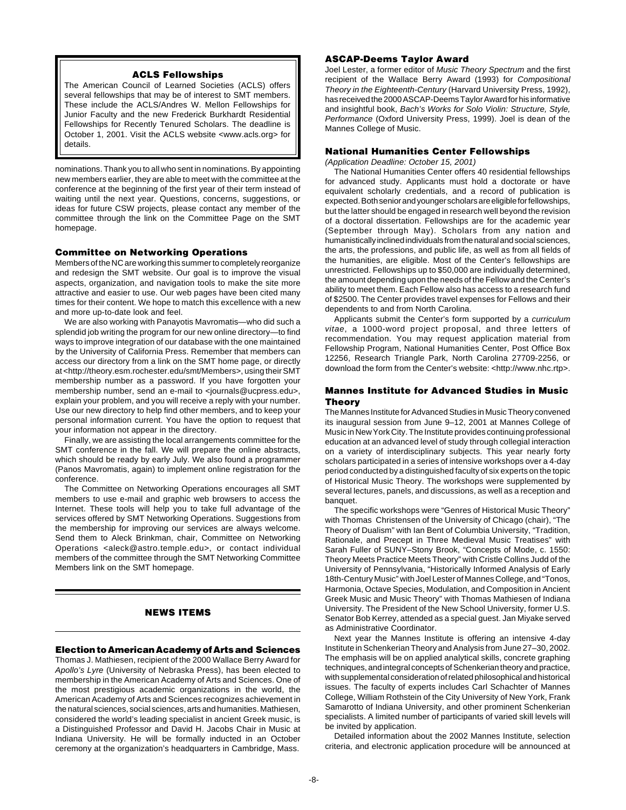# **ACLS Fellowships**

The American Council of Learned Societies (ACLS) offers several fellowships that may be of interest to SMT members. These include the ACLS/Andres W. Mellon Fellowships for Junior Faculty and the new Frederick Burkhardt Residential Fellowships for Recently Tenured Scholars. The deadline is October 1, 2001. Visit the ACLS website <www.acls.org> for details.

nominations. Thank you to all who sent in nominations. By appointing new members earlier, they are able to meet with the committee at the conference at the beginning of the first year of their term instead of waiting until the next year. Questions, concerns, suggestions, or ideas for future CSW projects, please contact any member of the committee through the link on the Committee Page on the SMT homepage.

### **Committee on Networking Operations**

Members of the NC are working this summer to completely reorganize and redesign the SMT website. Our goal is to improve the visual aspects, organization, and navigation tools to make the site more attractive and easier to use. Our web pages have been cited many times for their content. We hope to match this excellence with a new and more up-to-date look and feel.

We are also working with Panayotis Mavromatis—who did such a splendid job writing the program for our new online directory—to find ways to improve integration of our database with the one maintained by the University of California Press. Remember that members can access our directory from a link on the SMT home page, or directly at <http://theory.esm.rochester.edu/smt/Members>, using their SMT membership number as a password. If you have forgotten your membership number, send an e-mail to <journals@ucpress.edu>, explain your problem, and you will receive a reply with your number. Use our new directory to help find other members, and to keep your personal information current. You have the option to request that your information not appear in the directory.

Finally, we are assisting the local arrangements committee for the SMT conference in the fall. We will prepare the online abstracts, which should be ready by early July. We also found a programmer (Panos Mavromatis, again) to implement online registration for the conference.

The Committee on Networking Operations encourages all SMT members to use e-mail and graphic web browsers to access the Internet. These tools will help you to take full advantage of the services offered by SMT Networking Operations. Suggestions from the membership for improving our services are always welcome. Send them to Aleck Brinkman, chair, Committee on Networking Operations <aleck@astro.temple.edu>, or contact individual members of the committee through the SMT Networking Committee Members link on the SMT homepage.

# **NEWS ITEMS**

### **Election to American Academy of Arts and Sciences**

Thomas J. Mathiesen, recipient of the 2000 Wallace Berry Award for Apollo's Lyre (University of Nebraska Press), has been elected to membership in the American Academy of Arts and Sciences. One of the most prestigious academic organizations in the world, the American Academy of Arts and Sciences recognizes achievement in the natural sciences, social sciences, arts and humanities. Mathiesen, considered the world's leading specialist in ancient Greek music, is a Distinguished Professor and David H. Jacobs Chair in Music at Indiana University. He will be formally inducted in an October ceremony at the organization's headquarters in Cambridge, Mass.

# **ASCAP-Deems Taylor Award**

Joel Lester, a former editor of Music Theory Spectrum and the first recipient of the Wallace Berry Award (1993) for Compositional Theory in the Eighteenth-Century (Harvard University Press, 1992), has received the 2000 ASCAP-Deems Taylor Award for his informative and insightful book, Bach's Works for Solo Violin: Structure, Style, Performance (Oxford University Press, 1999). Joel is dean of the Mannes College of Music.

### **National Humanities Center Fellowships**

(Application Deadline: October 15, 2001)

The National Humanities Center offers 40 residential fellowships for advanced study. Applicants must hold a doctorate or have equivalent scholarly credentials, and a record of publication is expected. Both senior and younger scholars are eligible for fellowships, but the latter should be engaged in research well beyond the revision of a doctoral dissertation. Fellowships are for the academic year (September through May). Scholars from any nation and humanistically inclined individuals from the natural and social sciences, the arts, the professions, and public life, as well as from all fields of the humanities, are eligible. Most of the Center's fellowships are unrestricted. Fellowships up to \$50,000 are individually determined, the amount depending upon the needs of the Fellow and the Center's ability to meet them. Each Fellow also has access to a research fund of \$2500. The Center provides travel expenses for Fellows and their dependents to and from North Carolina.

Applicants submit the Center's form supported by a curriculum vitae, a 1000-word project proposal, and three letters of recommendation. You may request application material from Fellowship Program, National Humanities Center, Post Office Box 12256, Research Triangle Park, North Carolina 27709-2256, or download the form from the Center's website: <http://www.nhc.rtp>.

### **Mannes Institute for Advanced Studies in Music Theory**

The Mannes Institute for Advanced Studies in Music Theory convened its inaugural session from June 9–12, 2001 at Mannes College of Music in New York City. The Institute provides continuing professional education at an advanced level of study through collegial interaction on a variety of interdisciplinary subjects. This year nearly forty scholars participated in a series of intensive workshops over a 4-day period conducted by a distinguished faculty of six experts on the topic of Historical Music Theory. The workshops were supplemented by several lectures, panels, and discussions, as well as a reception and banquet.

The specific workshops were "Genres of Historical Music Theory" with Thomas Christensen of the University of Chicago (chair), "The Theory of Dualism" with Ian Bent of Columbia University, "Tradition, Rationale, and Precept in Three Medieval Music Treatises" with Sarah Fuller of SUNY–Stony Brook, "Concepts of Mode, c. 1550: Theory Meets Practice Meets Theory" with Cristle Collins Judd of the University of Pennsylvania, "Historically Informed Analysis of Early 18th-Century Music" with Joel Lester of Mannes College, and "Tonos, Harmonia, Octave Species, Modulation, and Composition in Ancient Greek Music and Music Theory" with Thomas Mathiesen of Indiana University. The President of the New School University, former U.S. Senator Bob Kerrey, attended as a special guest. Jan Miyake served as Administrative Coordinator.

Next year the Mannes Institute is offering an intensive 4-day Institute in Schenkerian Theory and Analysis from June 27–30, 2002. The emphasis will be on applied analytical skills, concrete graphing techniques, and integral concepts of Schenkerian theory and practice, with supplemental consideration of related philosophical and historical issues. The faculty of experts includes Carl Schachter of Mannes College, William Rothstein of the City University of New York, Frank Samarotto of Indiana University, and other prominent Schenkerian specialists. A limited number of participants of varied skill levels will be invited by application.

Detailed information about the 2002 Mannes Institute, selection criteria, and electronic application procedure will be announced at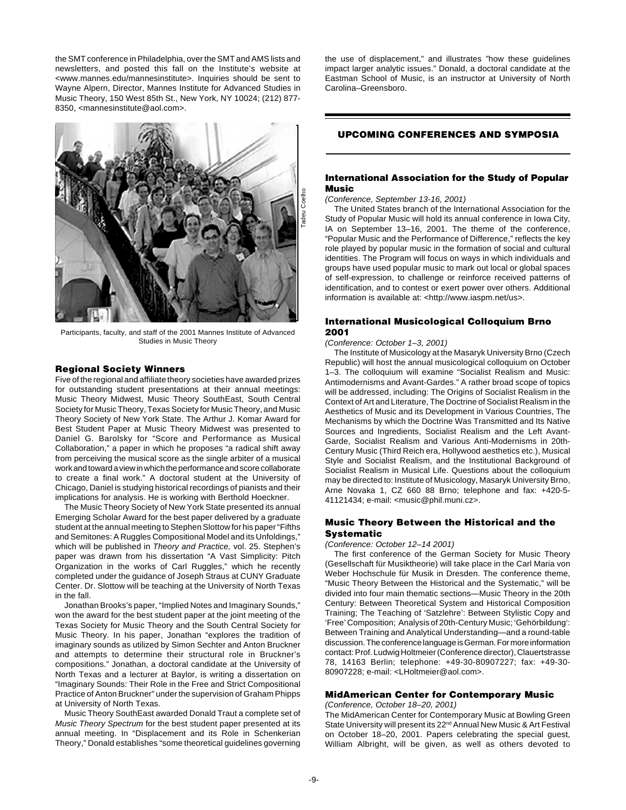the SMT conference in Philadelphia, over the SMT and AMS lists and newsletters, and posted this fall on the Institute's website at <www.mannes.edu/mannesinstitute>. Inquiries should be sent to Wayne Alpern, Director, Mannes Institute for Advanced Studies in Music Theory, 150 West 85th St., New York, NY 10024; (212) 877- 8350, <mannesinstitute@aol.com>.



Participants, faculty, and staff of the 2001 Mannes Institute of Advanced Studies in Music Theory

### **Regional Society Winners**

Five of the regional and affiliate theory societies have awarded prizes for outstanding student presentations at their annual meetings: Music Theory Midwest, Music Theory SouthEast, South Central Society for Music Theory, Texas Society for Music Theory, and Music Theory Society of New York State. The Arthur J. Komar Award for Best Student Paper at Music Theory Midwest was presented to Daniel G. Barolsky for "Score and Performance as Musical Collaboration," a paper in which he proposes "a radical shift away from perceiving the musical score as the single arbiter of a musical work and toward a view in which the performance and score collaborate to create a final work." A doctoral student at the University of Chicago, Daniel is studying historical recordings of pianists and their implications for analysis. He is working with Berthold Hoeckner.

The Music Theory Society of New York State presented its annual Emerging Scholar Award for the best paper delivered by a graduate student at the annual meeting to Stephen Slottow for his paper "Fifths and Semitones: A Ruggles Compositional Model and its Unfoldings," which will be published in Theory and Practice, vol. 25. Stephen's paper was drawn from his dissertation "A Vast Simplicity: Pitch Organization in the works of Carl Ruggles," which he recently completed under the guidance of Joseph Straus at CUNY Graduate Center. Dr. Slottow will be teaching at the University of North Texas in the fall.

Jonathan Brooks's paper, "Implied Notes and Imaginary Sounds," won the award for the best student paper at the joint meeting of the Texas Society for Music Theory and the South Central Society for Music Theory. In his paper, Jonathan "explores the tradition of imaginary sounds as utilized by Simon Sechter and Anton Bruckner and attempts to determine their structural role in Bruckner's compositions." Jonathan, a doctoral candidate at the University of North Texas and a lecturer at Baylor, is writing a dissertation on "Imaginary Sounds: Their Role in the Free and Strict Compositional Practice of Anton Bruckner" under the supervision of Graham Phipps at University of North Texas.

Music Theory SouthEast awarded Donald Traut a complete set of Music Theory Spectrum for the best student paper presented at its annual meeting. In "Displacement and its Role in Schenkerian Theory," Donald establishes "some theoretical guidelines governing

the use of displacement," and illustrates "how these guidelines impact larger analytic issues." Donald, a doctoral candidate at the Eastman School of Music, is an instructor at University of North Carolina–Greensboro.

# **UPCOMING CONFERENCES AND SYMPOSIA**

### **International Association for the Study of Popular Music**

(Conference, September 13-16, 2001)

The United States branch of the International Association for the Study of Popular Music will hold its annual conference in Iowa City, IA on September 13–16, 2001. The theme of the conference, "Popular Music and the Performance of Difference," reflects the key role played by popular music in the formation of social and cultural identities. The Program will focus on ways in which individuals and groups have used popular music to mark out local or global spaces of self-expression, to challenge or reinforce received patterns of identification, and to contest or exert power over others. Additional information is available at: <http://www.iaspm.net/us>.

### **International Musicological Colloquium Brno 2001**

(Conference: October 1–3, 2001)

The Institute of Musicology at the Masaryk University Brno (Czech Republic) will host the annual musicological colloquium on October 1–3. The colloquium will examine "Socialist Realism and Music: Antimodernisms and Avant-Gardes." A rather broad scope of topics will be addressed, including: The Origins of Socialist Realism in the Context of Art and Literature, The Doctrine of Socialist Realism in the Aesthetics of Music and its Development in Various Countries, The Mechanisms by which the Doctrine Was Transmitted and Its Native Sources and Ingredients, Socialist Realism and the Left Avant-Garde, Socialist Realism and Various Anti-Modernisms in 20th-Century Music (Third Reich era, Hollywood aesthetics etc.), Musical Style and Socialist Realism, and the Institutional Background of Socialist Realism in Musical Life. Questions about the colloquium may be directed to: Institute of Musicology, Masaryk University Brno, Arne Novaka 1, CZ 660 88 Brno; telephone and fax: +420-5- 41121434; e-mail: <music@phil.muni.cz>.

### **Music Theory Between the Historical and the Systematic**

(Conference: October 12–14 2001)

The first conference of the German Society for Music Theory (Gesellschaft für Musiktheorie) will take place in the Carl Maria von Weber Hochschule für Musik in Dresden. The conference theme, "Music Theory Between the Historical and the Systematic," will be divided into four main thematic sections—Music Theory in the 20th Century: Between Theoretical System and Historical Composition Training; The Teaching of 'Satzlehre': Between Stylistic Copy and 'Free' Composition; Analysis of 20th-Century Music; 'Gehörbildung': Between Training and Analytical Understanding—and a round-table discussion. The conference language is German. For more information contact: Prof. Ludwig Holtmeier (Conference director), Clauertstrasse 78, 14163 Berlin; telephone: +49-30-80907227; fax: +49-30- 80907228; e-mail: <LHoltmeier@aol.com>.

### **MidAmerican Center for Contemporary Music**

### (Conference, October 18–20, 2001)

The MidAmerican Center for Contemporary Music at Bowling Green State University will present its 22<sup>nd</sup> Annual New Music & Art Festival on October 18–20, 2001. Papers celebrating the special guest, William Albright, will be given, as well as others devoted to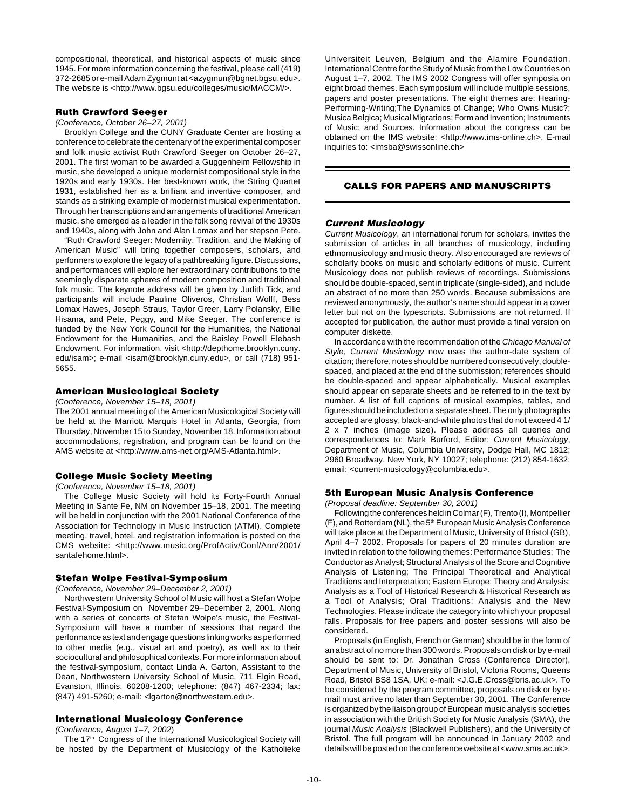compositional, theoretical, and historical aspects of music since 1945. For more information concerning the festival, please call (419) 372-2685 or e-mail Adam Zygmunt at <azygmun@bgnet.bgsu.edu>. The website is <http://www.bgsu.edu/colleges/music/MACCM/>.

### **Ruth Crawford Seeger**

(Conference, October 26–27, 2001)

Brooklyn College and the CUNY Graduate Center are hosting a conference to celebrate the centenary of the experimental composer and folk music activist Ruth Crawford Seeger on October 26–27, 2001. The first woman to be awarded a Guggenheim Fellowship in music, she developed a unique modernist compositional style in the 1920s and early 1930s. Her best-known work, the String Quartet 1931, established her as a brilliant and inventive composer, and stands as a striking example of modernist musical experimentation. Through her transcriptions and arrangements of traditional American music, she emerged as a leader in the folk song revival of the 1930s and 1940s, along with John and Alan Lomax and her stepson Pete.

"Ruth Crawford Seeger: Modernity, Tradition, and the Making of American Music" will bring together composers, scholars, and performers to explore the legacy of a pathbreaking figure. Discussions, and performances will explore her extraordinary contributions to the seemingly disparate spheres of modern composition and traditional folk music. The keynote address will be given by Judith Tick, and participants will include Pauline Oliveros, Christian Wolff, Bess Lomax Hawes, Joseph Straus, Taylor Greer, Larry Polansky, Ellie Hisama, and Pete, Peggy, and Mike Seeger. The conference is funded by the New York Council for the Humanities, the National Endowment for the Humanities, and the Baisley Powell Elebash Endowment. For information, visit <http://depthome.brooklyn.cuny. edu/isam>; e-mail <isam@brooklyn.cuny.edu>, or call (718) 951-5655.

### **American Musicological Society**

(Conference, November 15–18, 2001)

The 2001 annual meeting of the American Musicological Society will be held at the Marriott Marquis Hotel in Atlanta, Georgia, from Thursday, November 15 to Sunday, November 18. Information about accommodations, registration, and program can be found on the AMS website at <http://www.ams-net.org/AMS-Atlanta.html>.

(Conference, November 15–18, 2001)

The College Music Society will hold its Forty-Fourth Annual Meeting in Sante Fe, NM on November 15–18, 2001. The meeting will be held in conjunction with the 2001 National Conference of the Association for Technology in Music Instruction (ATMI). Complete meeting, travel, hotel, and registration information is posted on the CMS website: <http://www.music.org/ProfActiv/Conf/Ann/2001/ santafehome.html>.

### **Stefan Wolpe Festival-Symposium**

(Conference, November 29–December 2, 2001)

Northwestern University School of Music will host a Stefan Wolpe Festival-Symposium on November 29–December 2, 2001. Along with a series of concerts of Stefan Wolpe's music, the Festival-Symposium will have a number of sessions that regard the performance as text and engage questions linking works as performed to other media (e.g., visual art and poetry), as well as to their sociocultural and philosophical contexts. For more information about the festival-symposium, contact Linda A. Garton, Assistant to the Dean, Northwestern University School of Music, 711 Elgin Road, Evanston, Illinois, 60208-1200; telephone: (847) 467-2334; fax: (847) 491-5260; e-mail: <lgarton@northwestern.edu>.

# **International Musicology Conference**

(Conference, August 1–7, 2002)

The 17<sup>th</sup> Congress of the International Musicological Society will be hosted by the Department of Musicology of the Katholieke

Universiteit Leuven, Belgium and the Alamire Foundation, International Centre for the Study of Music from the Low Countries on August 1–7, 2002. The IMS 2002 Congress will offer symposia on eight broad themes. Each symposium will include multiple sessions, papers and poster presentations. The eight themes are: Hearing-Performing-Writing;The Dynamics of Change; Who Owns Music?; Musica Belgica; Musical Migrations; Form and Invention; Instruments of Music; and Sources. Information about the congress can be obtained on the IMS website: <http://www.ims-online.ch>. E-mail inquiries to: <imsba@swissonline.ch>

# **CALLS FOR PAPERS AND MANUSCRIPTS**

### **Current Musicology**

Current Musicology, an international forum for scholars, invites the submission of articles in all branches of musicology, including ethnomusicology and music theory. Also encouraged are reviews of scholarly books on music and scholarly editions of music. Current Musicology does not publish reviews of recordings. Submissions should be double-spaced, sent in triplicate (single-sided), and include an abstract of no more than 250 words. Because submissions are reviewed anonymously, the author's name should appear in a cover letter but not on the typescripts. Submissions are not returned. If accepted for publication, the author must provide a final version on computer diskette.

In accordance with the recommendation of the Chicago Manual of Style, Current Musicology now uses the author-date system of citation; therefore, notes should be numbered consecutively, doublespaced, and placed at the end of the submission; references should be double-spaced and appear alphabetically. Musical examples should appear on separate sheets and be referred to in the text by number. A list of full captions of musical examples, tables, and figures should be included on a separate sheet. The only photographs accepted are glossy, black-and-white photos that do not exceed 4 1/ 2 x 7 inches (image size). Please address all queries and correspondences to: Mark Burford, Editor; Current Musicology, Department of Music, Columbia University, Dodge Hall, MC 1812; 2960 Broadway, New York, NY 10027; telephone: (212) 854-1632; email: <current-musicology@columbia.edu>. **College Music Society Meeting**

### **5th European Music Analysis Conference**

(Proposal deadline: September 30, 2001)

Following the conferences held in Colmar (F), Trento (I), Montpellier (F), and Rotterdam (NL), the 5<sup>th</sup> European Music Analysis Conference will take place at the Department of Music, University of Bristol (GB), April 4–7 2002. Proposals for papers of 20 minutes duration are invited in relation to the following themes: Performance Studies; The Conductor as Analyst; Structural Analysis of the Score and Cognitive Analysis of Listening; The Principal Theoretical and Analytical Traditions and Interpretation; Eastern Europe: Theory and Analysis; Analysis as a Tool of Historical Research & Historical Research as a Tool of Analysis; Oral Traditions; Analysis and the New Technologies. Please indicate the category into which your proposal falls. Proposals for free papers and poster sessions will also be considered.

Proposals (in English, French or German) should be in the form of an abstract of no more than 300 words. Proposals on disk or by e-mail should be sent to: Dr. Jonathan Cross (Conference Director), Department of Music, University of Bristol, Victoria Rooms, Queens Road, Bristol BS8 1SA, UK; e-mail: <J.G.E.Cross@bris.ac.uk>. To be considered by the program committee, proposals on disk or by email must arrive no later than September 30, 2001. The Conference is organized by the liaison group of European music analysis societies in association with the British Society for Music Analysis (SMA), the journal Music Analysis (Blackwell Publishers), and the University of Bristol. The full program will be announced in January 2002 and details will be posted on the conference website at <www.sma.ac.uk>.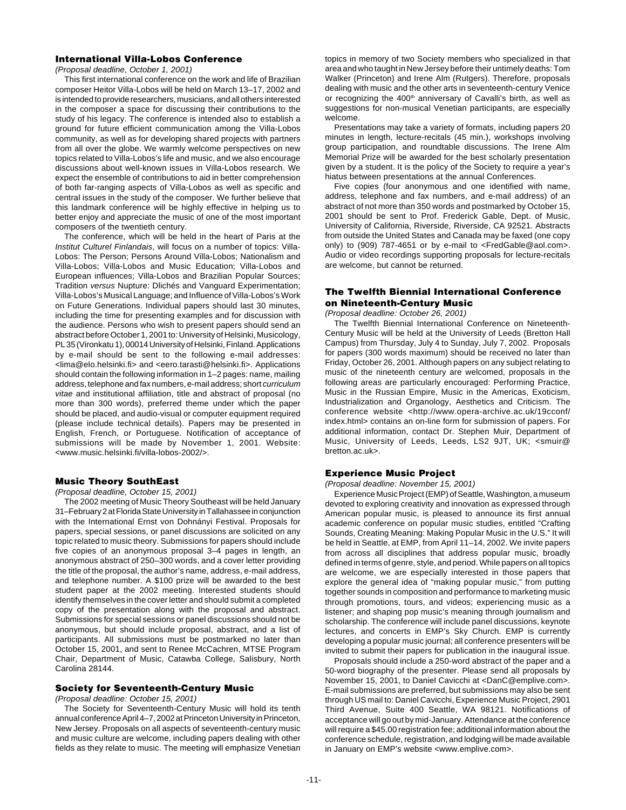# **International Villa-Lobos Conference**

(Proposal deadline, October 1, 2001)

This first international conference on the work and life of Brazilian composer Heitor Villa-Lobos will be held on March 13–17, 2002 and is intended to provide researchers, musicians, and all others interested in the composer a space for discussing their contributions to the study of his legacy. The conference is intended also to establish a ground for future efficient communication among the Villa-Lobos community, as well as for developing shared projects with partners from all over the globe. We warmly welcome perspectives on new topics related to Villa-Lobos's life and music, and we also encourage discussions about well-known issues in Villa-Lobos research. We expect the ensemble of contributions to aid in better comprehension of both far-ranging aspects of Villa-Lobos as well as specific and central issues in the study of the composer. We further believe that this landmark conference will be highly effective in helping us to better enjoy and appreciate the music of one of the most important composers of the twentieth century.

The conference, which will be held in the heart of Paris at the Institut Culturel Finlandais, will focus on a number of topics: Villa-Lobos: The Person; Persons Around Villa-Lobos; Nationalism and Villa-Lobos; Villa-Lobos and Music Education; Villa-Lobos and European influences; Villa-Lobos and Brazilian Popular Sources; Tradition versus Nupture: Dlichés and Vanguard Experimentation; Villa-Lobos's Musical Language; and Influence of Villa-Lobos's Work on Future Generations. Individual papers should last 30 minutes, including the time for presenting examples and for discussion with the audience. Persons who wish to present papers should send an abstract before October 1, 2001 to: University of Helsinki, Musicology, PL 35 (Vironkatu 1), 00014 University of Helsinki, Finland. Applications by e-mail should be sent to the following e-mail addresses: <lima@elo.helsinki.fi> and <eero.tarasti@helsinki.fi>. Applications should contain the following information in 1–2 pages: name, mailing address, telephone and fax numbers, e-mail address; short curriculum vitae and institutional affiliation, title and abstract of proposal (no more than 300 words), preferred theme under which the paper should be placed, and audio-visual or computer equipment required (please include technical details). Papers may be presented in English, French, or Portuguese. Notification of acceptance of submissions will be made by November 1, 2001. Website: <www.music.helsinki.fi/villa-lobos-2002/>.

# **Music Theory SouthEast**

(Proposal deadline, October 15, 2001)

The 2002 meeting of Music Theory Southeast will be held January 31–February 2 at Florida State University in Tallahassee in conjunction with the International Ernst von Dohnányi Festival. Proposals for papers, special sessions, or panel discussions are solicited on any topic related to music theory. Submissions for papers should include five copies of an anonymous proposal 3–4 pages in length, an anonymous abstract of 250–300 words, and a cover letter providing the title of the proposal, the author's name, address, e-mail address, and telephone number. A \$100 prize will be awarded to the best student paper at the 2002 meeting. Interested students should identify themselves in the cover letter and should submit a completed copy of the presentation along with the proposal and abstract. Submissions for special sessions or panel discussions should not be anonymous, but should include proposal, abstract, and a list of participants. All submissions must be postmarked no later than October 15, 2001, and sent to Renee McCachren, MTSE Program Chair, Department of Music, Catawba College, Salisbury, North Carolina 28144.

# **Society for Seventeenth-Century Music**

(Proposal deadline: October 15, 2001)

The Society for Seventeenth-Century Music will hold its tenth annual conference April 4–7, 2002 at Princeton University in Princeton, New Jersey. Proposals on all aspects of seventeenth-century music and music culture are welcome, including papers dealing with other fields as they relate to music. The meeting will emphasize Venetian

topics in memory of two Society members who specialized in that area and who taught in New Jersey before their untimely deaths: Tom Walker (Princeton) and Irene Alm (Rutgers). Therefore, proposals dealing with music and the other arts in seventeenth-century Venice or recognizing the 400<sup>th</sup> anniversary of Cavalli's birth, as well as suggestions for non-musical Venetian participants, are especially welcome.

Presentations may take a variety of formats, including papers 20 minutes in length, lecture-recitals (45 min.), workshops involving group participation, and roundtable discussions. The Irene Alm Memorial Prize will be awarded for the best scholarly presentation given by a student. It is the policy of the Society to require a year's hiatus between presentations at the annual Conferences.

Five copies (four anonymous and one identified with name, address, telephone and fax numbers, and e-mail address) of an abstract of not more than 350 words and postmarked by October 15, 2001 should be sent to Prof. Frederick Gable, Dept. of Music, University of California, Riverside, Riverside, CA 92521. Abstracts from outside the United States and Canada may be faxed (one copy only) to (909) 787-4651 or by e-mail to <FredGable@aol.com>. Audio or video recordings supporting proposals for lecture-recitals are welcome, but cannot be returned.

# **The Twelfth Biennial International Conference on Nineteenth-Century Music**

(Proposal deadline: October 26, 2001)

The Twelfth Biennial International Conference on Nineteenth-Century Music will be held at the University of Leeds (Bretton Hall Campus) from Thursday, July 4 to Sunday, July 7, 2002. Proposals for papers (300 words maximum) should be received no later than Friday, October 26, 2001. Although papers on any subject relating to music of the nineteenth century are welcomed, proposals in the following areas are particularly encouraged: Performing Practice, Music in the Russian Empire, Music in the Americas, Exoticism, Industrialization and Organology, Aesthetics and Criticism. The conference website <http://www.opera-archive.ac.uk/19cconf/ index.html> contains an on-line form for submission of papers. For additional information, contact Dr. Stephen Muir, Department of Music, University of Leeds, Leeds, LS2 9JT, UK; <smuir@ bretton.ac.uk>.

# **Experience Music Project**

(Proposal deadline: November 15, 2001)

Experience Music Project (EMP) of Seattle, Washington, a museum devoted to exploring creativity and innovation as expressed through American popular music, is pleased to announce its first annual academic conference on popular music studies, entitled "Crafting Sounds, Creating Meaning: Making Popular Music in the U.S." It will be held in Seattle, at EMP, from April 11–14, 2002. We invite papers from across all disciplines that address popular music, broadly defined in terms of genre, style, and period. While papers on all topics are welcome, we are especially interested in those papers that explore the general idea of "making popular music," from putting together sounds in composition and performance to marketing music through promotions, tours, and videos; experiencing music as a listener; and shaping pop music's meaning through journalism and scholarship. The conference will include panel discussions, keynote lectures, and concerts in EMP's Sky Church. EMP is currently developing a popular music journal; all conference presenters will be invited to submit their papers for publication in the inaugural issue.

Proposals should include a 250-word abstract of the paper and a 50-word biography of the presenter. Please send all proposals by November 15, 2001, to Daniel Cavicchi at <DanC@emplive.com>. E-mail submissions are preferred, but submissions may also be sent through US mail to: Daniel Cavicchi, Experience Music Project, 2901 Third Avenue, Suite 400 Seattle, WA 98121. Notifications of acceptance will go out by mid-January. Attendance at the conference will require a \$45.00 registration fee; additional information about the conference schedule, registration, and lodging will be made available in January on EMP's website <www.emplive.com>.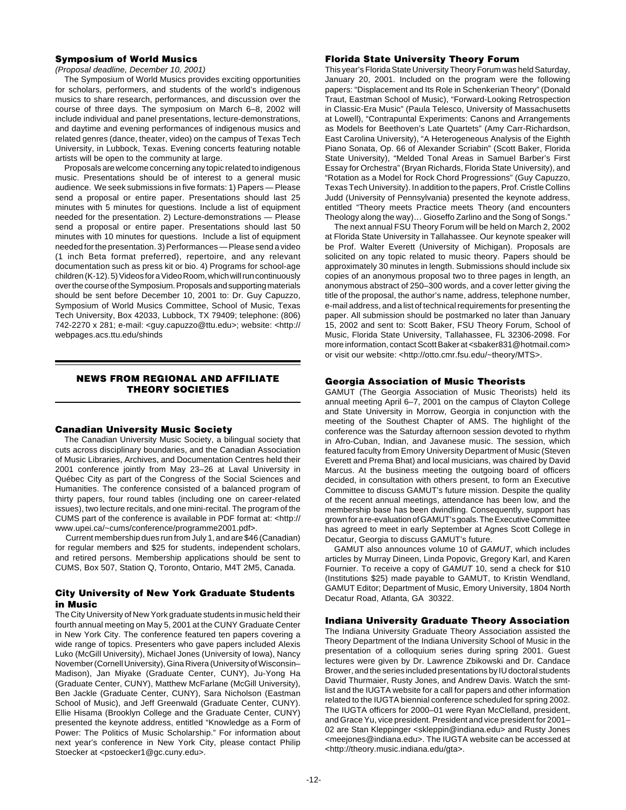### **Symposium of World Musics**

(Proposal deadline, December 10, 2001)

The Symposium of World Musics provides exciting opportunities for scholars, performers, and students of the world's indigenous musics to share research, performances, and discussion over the course of three days. The symposium on March 6–8, 2002 will include individual and panel presentations, lecture-demonstrations, and daytime and evening performances of indigenous musics and related genres (dance, theater, video) on the campus of Texas Tech University, in Lubbock, Texas. Evening concerts featuring notable artists will be open to the community at large.

Proposals are welcome concerning any topic related to indigenous music. Presentations should be of interest to a general music audience. We seek submissions in five formats: 1) Papers — Please send a proposal or entire paper. Presentations should last 25 minutes with 5 minutes for questions. Include a list of equipment needed for the presentation. 2) Lecture-demonstrations — Please send a proposal or entire paper. Presentations should last 50 minutes with 10 minutes for questions. Include a list of equipment needed for the presentation. 3) Performances — Please send a video (1 inch Beta format preferred), repertoire, and any relevant documentation such as press kit or bio. 4) Programs for school-age children (K-12). 5) Videos for a Video Room, which will run continuously over the course of the Symposium. Proposals and supporting materials should be sent before December 10, 2001 to: Dr. Guy Capuzzo, Symposium of World Musics Committee, School of Music, Texas Tech University, Box 42033, Lubbock, TX 79409; telephone: (806) 742-2270 x 281; e-mail: <guy.capuzzo@ttu.edu>; website: <http:// webpages.acs.ttu.edu/shinds

# **NEWS FROM REGIONAL AND AFFILIATE THEORY SOCIETIES**

### **Canadian University Music Society**

The Canadian University Music Society, a bilingual society that cuts across disciplinary boundaries, and the Canadian Association of Music Libraries, Archives, and Documentation Centres held their 2001 conference jointly from May 23–26 at Laval University in Québec City as part of the Congress of the Social Sciences and Humanities. The conference consisted of a balanced program of thirty papers, four round tables (including one on career-related issues), two lecture recitals, and one mini-recital. The program of the CUMS part of the conference is available in PDF format at: <http:// www.upei.ca/~cums/conference/programme2001.pdf>.

 Current membership dues run from July 1, and are \$46 (Canadian) for regular members and \$25 for students, independent scholars, and retired persons. Membership applications should be sent to CUMS, Box 507, Station Q, Toronto, Ontario, M4T 2M5, Canada.

### **City University of New York Graduate Students in Music**

The City University of New York graduate students in music held their fourth annual meeting on May 5, 2001 at the CUNY Graduate Center in New York City. The conference featured ten papers covering a wide range of topics. Presenters who gave papers included Alexis Luko (McGill University), Michael Jones (University of Iowa), Nancy November (Cornell University), Gina Rivera (University of Wisconsin– Madison), Jan Miyake (Graduate Center, CUNY), Ju-Yong Ha (Graduate Center, CUNY), Matthew McFarlane (McGill University), Ben Jackle (Graduate Center, CUNY), Sara Nicholson (Eastman School of Music), and Jeff Greenwald (Graduate Center, CUNY). Ellie Hisama (Brooklyn College and the Graduate Center, CUNY) presented the keynote address, entitled "Knowledge as a Form of Power: The Politics of Music Scholarship." For information about next year's conference in New York City, please contact Philip Stoecker at <pstoecker1@gc.cuny.edu>.

### **Florida State University Theory Forum**

This year's Florida State University Theory Forum was held Saturday, January 20, 2001. Included on the program were the following papers: "Displacement and Its Role in Schenkerian Theory" (Donald Traut, Eastman School of Music), "Forward-Looking Retrospection in Classic-Era Music" (Paula Telesco, University of Massachusetts at Lowell), "Contrapuntal Experiments: Canons and Arrangements as Models for Beethoven's Late Quartets" (Amy Carr-Richardson, East Carolina University), "A Heterogeneous Analysis of the Eighth Piano Sonata, Op. 66 of Alexander Scriabin" (Scott Baker, Florida State University), "Melded Tonal Areas in Samuel Barber's First Essay for Orchestra" (Bryan Richards, Florida State University), and "Rotation as a Model for Rock Chord Progressions" (Guy Capuzzo, Texas Tech University). In addition to the papers, Prof. Cristle Collins Judd (University of Pennsylvania) presented the keynote address, entitled "Theory meets Practice meets Theory (and encounters Theology along the way)… Gioseffo Zarlino and the Song of Songs."

The next annual FSU Theory Forum will be held on March 2, 2002 at Florida State University in Tallahassee. Our keynote speaker will be Prof. Walter Everett (University of Michigan). Proposals are solicited on any topic related to music theory. Papers should be approximately 30 minutes in length. Submissions should include six copies of an anonymous proposal two to three pages in length, an anonymous abstract of 250–300 words, and a cover letter giving the title of the proposal, the author's name, address, telephone number, e-mail address, and a list of technical requirements for presenting the paper. All submission should be postmarked no later than January 15, 2002 and sent to: Scott Baker, FSU Theory Forum, School of Music, Florida State University, Tallahassee, FL 32306-2098. For more information, contact Scott Baker at <sbaker831@hotmail.com> or visit our website: <http://otto.cmr.fsu.edu/~theory/MTS>.

# **Georgia Association of Music Theorists**

GAMUT (The Georgia Association of Music Theorists) held its annual meeting April 6–7, 2001 on the campus of Clayton College and State University in Morrow, Georgia in conjunction with the meeting of the Southest Chapter of AMS. The highlight of the conference was the Saturday afternoon session devoted to rhythm in Afro-Cuban, Indian, and Javanese music. The session, which featured faculty from Emory University Department of Music (Steven Everett and Prema Bhat) and local musicians, was chaired by David Marcus. At the business meeting the outgoing board of officers decided, in consultation with others present, to form an Executive Committee to discuss GAMUT's future mission. Despite the quality of the recent annual meetings, attendance has been low, and the membership base has been dwindling. Consequently, support has grown for a re-evaluation of GAMUT's goals. The Executive Committee has agreed to meet in early September at Agnes Scott College in Decatur, Georgia to discuss GAMUT's future.

GAMUT also announces volume 10 of GAMUT, which includes articles by Murray Dineen, Linda Popovic, Gregory Karl, and Karen Fournier. To receive a copy of GAMUT 10, send a check for \$10 (Institutions \$25) made payable to GAMUT, to Kristin Wendland, GAMUT Editor; Department of Music, Emory University, 1804 North Decatur Road, Atlanta, GA 30322.

### **Indiana University Graduate Theory Association**

The Indiana University Graduate Theory Association assisted the Theory Department of the Indiana University School of Music in the presentation of a colloquium series during spring 2001. Guest lectures were given by Dr. Lawrence Zbikowski and Dr. Candace Brower, and the series included presentations by IU doctoral students David Thurmaier, Rusty Jones, and Andrew Davis. Watch the smtlist and the IUGTA website for a call for papers and other information related to the IUGTA biennial conference scheduled for spring 2002. The IUGTA officers for 2000–01 were Ryan McClelland, president, and Grace Yu, vice president. President and vice president for 2001– 02 are Stan Kleppinger <skleppin@indiana.edu> and Rusty Jones <meejones@indiana.edu>. The IUGTA website can be accessed at <http://theory.music.indiana.edu/gta>.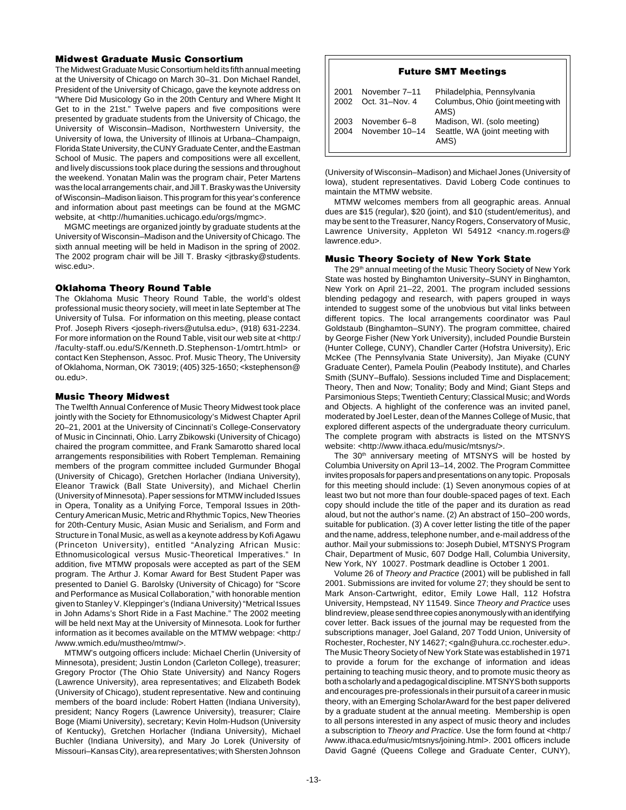# **Midwest Graduate Music Consortium**

The Midwest Graduate Music Consortium held its fifth annual meeting at the University of Chicago on March 30–31. Don Michael Randel, President of the University of Chicago, gave the keynote address on "Where Did Musicology Go in the 20th Century and Where Might It Get to in the 21st." Twelve papers and five compositions were presented by graduate students from the University of Chicago, the University of Wisconsin–Madison, Northwestern University, the University of Iowa, the University of Illinois at Urbana–Champaign, Florida State University, the CUNY Graduate Center, and the Eastman School of Music. The papers and compositions were all excellent, and lively discussions took place during the sessions and throughout the weekend. Yonatan Malin was the program chair, Peter Martens was the local arrangements chair, and Jill T. Brasky was the University of Wisconsin–Madison liaison. This program for this year's conference and information about past meetings can be found at the MGMC website, at <http://humanities.uchicago.edu/orgs/mgmc>.

MGMC meetings are organized jointly by graduate students at the University of Wisconsin–Madison and the University of Chicago. The sixth annual meeting will be held in Madison in the spring of 2002. The 2002 program chair will be Jill T. Brasky <itbrasky@students. wisc.edu>.

# **Oklahoma Theory Round Table**

The Oklahoma Music Theory Round Table, the world's oldest professional music theory society, will meet in late September at The University of Tulsa. For information on this meeting, please contact Prof. Joseph Rivers <joseph-rivers@utulsa.edu>, (918) 631-2234. For more information on the Round Table, visit our web site at <http:/ /faculty-staff.ou.edu/S/Kenneth.D.Stephenson-1/omtrt.html> or contact Ken Stephenson, Assoc. Prof. Music Theory, The University of Oklahoma, Norman, OK 73019; (405) 325-1650; <kstephenson@ ou.edu>.

# **Music Theory Midwest**

The Twelfth Annual Conference of Music Theory Midwest took place jointly with the Society for Ethnomusicology's Midwest Chapter April 20–21, 2001 at the University of Cincinnati's College-Conservatory of Music in Cincinnati, Ohio. Larry Zbikowski (University of Chicago) chaired the program committee, and Frank Samarotto shared local arrangements responsibilities with Robert Templeman. Remaining members of the program committee included Gurmunder Bhogal (University of Chicago), Gretchen Horlacher (Indiana University), Eleanor Trawick (Ball State University), and Michael Cherlin (University of Minnesota). Paper sessions for MTMW included Issues in Opera, Tonality as a Unifying Force, Temporal Issues in 20th-Century American Music, Metric and Rhythmic Topics, New Theories for 20th-Century Music, Asian Music and Serialism, and Form and Structure in Tonal Music, as well as a keynote address by Kofi Agawu (Princeton University), entitled "Analyzing African Music: Ethnomusicological versus Music-Theoretical Imperatives." In addition, five MTMW proposals were accepted as part of the SEM program. The Arthur J. Komar Award for Best Student Paper was presented to Daniel G. Barolsky (University of Chicago) for "Score and Performance as Musical Collaboration," with honorable mention given to Stanley V. Kleppinger's (Indiana University) "Metrical Issues in John Adams's Short Ride in a Fast Machine." The 2002 meeting will be held next May at the University of Minnesota. Look for further information as it becomes available on the MTMW webpage: <http:/ /www.wmich.edu/mustheo/mtmw/>.

MTMW's outgoing officers include: Michael Cherlin (University of Minnesota), president; Justin London (Carleton College), treasurer; Gregory Proctor (The Ohio State University) and Nancy Rogers (Lawrence University), area representatives; and Elizabeth Bodek (University of Chicago), student representative. New and continuing members of the board include: Robert Hatten (Indiana University), president; Nancy Rogers (Lawrence University), treasurer; Claire Boge (Miami University), secretary; Kevin Holm-Hudson (University of Kentucky), Gretchen Horlacher (Indiana University), Michael Buchler (Indiana University), and Mary Jo Lorek (University of Missouri–Kansas City), area representatives; with Shersten Johnson

### **Future SMT Meetings**

| 2001<br>2002 | November 7-11<br>Oct. 31-Nov. 4 | Philadelphia, Pennsylvania<br>Columbus, Ohio (joint meeting with<br>AMS) |
|--------------|---------------------------------|--------------------------------------------------------------------------|
| 2003<br>2004 | November 6–8<br>November 10-14  | Madison, WI. (solo meeting)<br>Seattle, WA (joint meeting with<br>AMS)   |

(University of Wisconsin–Madison) and Michael Jones (University of Iowa), student representatives. David Loberg Code continues to maintain the MTMW website.

MTMW welcomes members from all geographic areas. Annual dues are \$15 (regular), \$20 (joint), and \$10 (student/emeritus), and may be sent to the Treasurer, Nancy Rogers, Conservatory of Music, Lawrence University, Appleton WI 54912 <nancy.m.rogers@ lawrence.edu>.

# **Music Theory Society of New York State**

The 29<sup>th</sup> annual meeting of the Music Theory Society of New York State was hosted by Binghamton University–SUNY in Binghamton, New York on April 21–22, 2001. The program included sessions blending pedagogy and research, with papers grouped in ways intended to suggest some of the unobvious but vital links between different topics. The local arrangements coordinator was Paul Goldstaub (Binghamton–SUNY). The program committee, chaired by George Fisher (New York University), included Poundie Burstein (Hunter College, CUNY), Chandler Carter (Hofstra University), Eric McKee (The Pennsylvania State University), Jan Miyake (CUNY Graduate Center), Pamela Poulin (Peabody Institute), and Charles Smith (SUNY–Buffalo). Sessions included Time and Displacement; Theory, Then and Now; Tonality; Body and Mind; Giant Steps and Parsimonious Steps; Twentieth Century; Classical Music; and Words and Objects. A highlight of the conference was an invited panel, moderated by Joel Lester, dean of the Mannes College of Music, that explored different aspects of the undergraduate theory curriculum. The complete program with abstracts is listed on the MTSNYS website: <http://www.ithaca.edu/music/mtsnys/>.

The 30<sup>th</sup> anniversary meeting of MTSNYS will be hosted by Columbia University on April 13–14, 2002. The Program Committee invites proposals for papers and presentations on any topic. Proposals for this meeting should include: (1) Seven anonymous copies of at least two but not more than four double-spaced pages of text. Each copy should include the title of the paper and its duration as read aloud, but not the author's name. (2) An abstract of 150–200 words, suitable for publication. (3) A cover letter listing the title of the paper and the name, address, telephone number, and e-mail address of the author. Mail your submissions to: Joseph Dubiel, MTSNYS Program Chair, Department of Music, 607 Dodge Hall, Columbia University, New York, NY 10027. Postmark deadline is October 1 2001.

Volume 26 of Theory and Practice (2001) will be published in fall 2001. Submissions are invited for volume 27; they should be sent to Mark Anson-Cartwright, editor, Emily Lowe Hall, 112 Hofstra University, Hempstead, NY 11549. Since Theory and Practice uses blind review, please send three copies anonymously with an identifying cover letter. Back issues of the journal may be requested from the subscriptions manager, Joel Galand, 207 Todd Union, University of Rochester, Rochester, NY 14627; <galn@uhura.cc.rochester.edu>. The Music Theory Society of New York State was established in 1971 to provide a forum for the exchange of information and ideas pertaining to teaching music theory, and to promote music theory as both a scholarly and a pedagogical discipline. MTSNYS both supports and encourages pre-professionals in their pursuit of a career in music theory, with an Emerging ScholarAward for the best paper delivered by a graduate student at the annual meeting. Membership is open to all persons interested in any aspect of music theory and includes a subscription to Theory and Practice. Use the form found at <http:/ /www.ithaca.edu/music/mtsnys/joining.html>. 2001 officers include David Gagné (Queens College and Graduate Center, CUNY),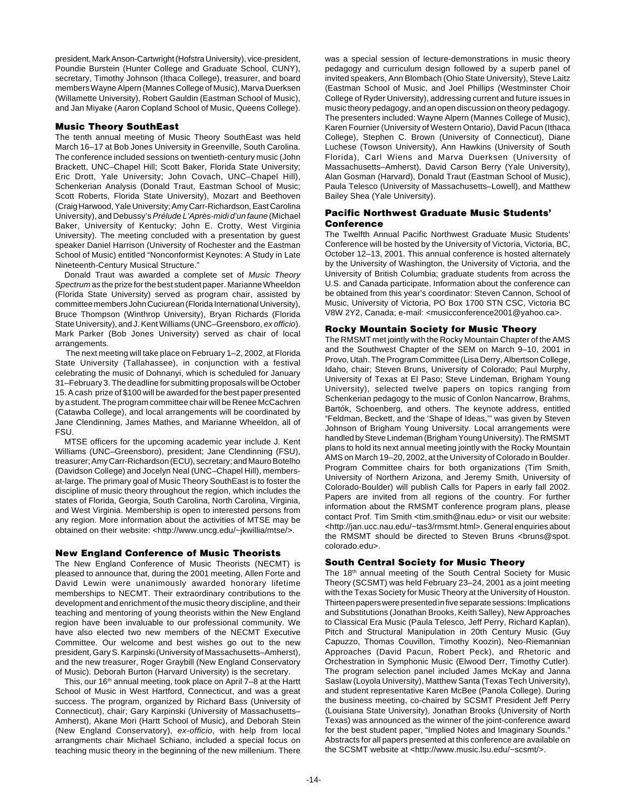president, Mark Anson-Cartwright (Hofstra University), vice-president, Poundie Burstein (Hunter College and Graduate School, CUNY), secretary, Timothy Johnson (Ithaca College), treasurer, and board members Wayne Alpern (Mannes College of Music), Marva Duerksen (Willamette University), Robert Gauldin (Eastman School of Music), and Jan Miyake (Aaron Copland School of Music, Queens College).

# **Music Theory SouthEast**

The tenth annual meeting of Music Theory SouthEast was held March 16–17 at Bob Jones University in Greenville, South Carolina. The conference included sessions on twentieth-century music (John Brackett, UNC–Chapel Hill; Scott Baker, Florida State University; Eric Drott, Yale University; John Covach, UNC–Chapel Hill), Schenkerian Analysis (Donald Traut, Eastman School of Music; Scott Roberts, Florida State University), Mozart and Beethoven (Craig Harwood, Yale University; Amy Carr-Richardson, East Carolina University), and Debussy's Prélude L'Après-midi d'un faune (Michael Baker, University of Kentucky; John E. Crotty, West Virginia University). The meeting concluded with a presentation by guest speaker Daniel Harrison (University of Rochester and the Eastman School of Music) entitled "Nonconformist Keynotes: A Study in Late Nineteenth-Century Musical Structure."

Donald Traut was awarded a complete set of Music Theory Spectrum as the prize for the best student paper. Marianne Wheeldon (Florida State University) served as program chair, assisted by committee members John Cuciurean (Florida International University), Bruce Thompson (Winthrop University), Bryan Richards (Florida State University), and J. Kent Williams (UNC–Greensboro, ex officio). Mark Parker (Bob Jones University) served as chair of local arrangements.

 The next meeting will take place on February 1–2, 2002, at Florida State University (Tallahassee), in conjunction with a festival celebrating the music of Dohnanyi, which is scheduled for January 31–February 3. The deadline for submitting proposals will be October 15. A cash prize of \$100 will be awarded for the best paper presented by a student. The program committee chair will be Renee McCachren (Catawba College), and local arrangements will be coordinated by Jane Clendinning, James Mathes, and Marianne Wheeldon, all of FSU.

MTSE officers for the upcoming academic year include J. Kent Williams (UNC–Greensboro), president; Jane Clendinning (FSU), treasurer; Amy Carr-Richardson (ECU), secretary; and Mauro Botelho (Davidson College) and Jocelyn Neal (UNC–Chapel Hill), membersat-large. The primary goal of Music Theory SouthEast is to foster the discipline of music theory throughout the region, which includes the states of Florida, Georgia, South Carolina, North Carolina, Virginia, and West Virginia. Membership is open to interested persons from any region. More information about the activities of MTSE may be obtained on their website: <http://www.uncg.edu/~jkwillia/mtse/>.

# **New England Conference of Music Theorists**

The New England Conference of Music Theorists (NECMT) is pleased to announce that, during the 2001 meeting, Allen Forte and David Lewin were unanimously awarded honorary lifetime memberships to NECMT. Their extraordinary contributions to the development and enrichment of the music theory discipline, and their teaching and mentoring of young theorists within the New England region have been invaluable to our professional community. We have also elected two new members of the NECMT Executive Committee. Our welcome and best wishes go out to the new president, Gary S. Karpinski (University of Massachusetts–Amherst), and the new treasurer, Roger Graybill (New England Conservatory of Music). Deborah Burton (Harvard University) is the secretary.

This, our 16<sup>th</sup> annual meeting, took place on April 7-8 at the Hartt School of Music in West Hartford, Connecticut, and was a great success. The program, organized by Richard Bass (University of Connecticut), chair; Gary Karpinski (University of Massachusetts– Amherst), Akane Mori (Hartt School of Music), and Deborah Stein (New England Conservatory), ex-officio, with help from local arrangments chair Michael Schiano, included a special focus on teaching music theory in the beginning of the new millenium. There

was a special session of lecture-demonstrations in music theory pedagogy and curriculum design followed by a superb panel of invited speakers, Ann Blombach (Ohio State University), Steve Laitz (Eastman School of Music, and Joel Phillips (Westminster Choir College of Ryder University), addressing current and future issues in music theory pedagogy, and an open discussion on theory pedagogy. The presenters included: Wayne Alpern (Mannes College of Music), Karen Fournier (University of Western Ontario), David Pacun (Ithaca College), Stephen C. Brown (University of Connecticut), Diane Luchese (Towson University), Ann Hawkins (University of South Florida), Carl Wiens and Marva Duerksen (University of Massachusetts–Amherst), David Carson Berry (Yale University), Alan Gosman (Harvard), Donald Traut (Eastman School of Music), Paula Telesco (University of Massachusetts–Lowell), and Matthew Bailey Shea (Yale University).

# **Pacific Northwest Graduate Music Students' Conference**

The Twelfth Annual Pacific Northwest Graduate Music Students' Conference will be hosted by the University of Victoria, Victoria, BC, October 12–13, 2001. This annual conference is hosted alternately by the University of Washington, the University of Victoria, and the University of British Columbia; graduate students from across the U.S. and Canada participate. Information about the conference can be obtained from this year's coordinator: Steven Cannon, School of Music, University of Victoria, PO Box 1700 STN CSC, Victoria BC V8W 2Y2, Canada; e-mail: <musicconference2001@yahoo.ca>.

# **Rocky Mountain Society for Music Theory**

The RMSMT met jointly with the Rocky Mountain Chapter of the AMS and the Southwest Chapter of the SEM on March 9–10, 2001 in Provo, Utah. The Program Committee (Lisa Derry, Albertson College, Idaho, chair; Steven Bruns, University of Colorado; Paul Murphy, University of Texas at El Paso; Steve Lindeman, Brigham Young University), selected twelve papers on topics ranging from Schenkerian pedagogy to the music of Conlon Nancarrow, Brahms, Bartók, Schoenberg, and others. The keynote address, entitled "Feldman, Beckett, and the 'Shape of Ideas,'" was given by Steven Johnson of Brigham Young University. Local arrangements were handled by Steve Lindeman (Brigham Young University). The RMSMT plans to hold its next annual meeting jointly with the Rocky Mountain AMS on March 19–20, 2002, at the University of Colorado in Boulder. Program Committee chairs for both organizations (Tim Smith, University of Northern Arizona, and Jeremy Smith, University of Colorado-Boulder) will publish Calls for Papers in early fall 2002. Papers are invited from all regions of the country. For further information about the RMSMT conference program plans, please contact Prof. Tim Smith <tim.smith@nau.edu> or visit our website: <http://jan.ucc.nau.edu/~tas3/rmsmt.html>. General enquiries about the RMSMT should be directed to Steven Bruns <br/>bruns@spot. colorado.edu>.

# **South Central Society for Music Theory**

The 18<sup>th</sup> annual meeting of the South Central Society for Music Theory (SCSMT) was held February 23–24, 2001 as a joint meeting with the Texas Society for Music Theory at the University of Houston. Thirteen papers were presented in five separate sessions: Implications and Substitutions (Jonathan Brooks, Keith Salley), New Approaches to Classical Era Music (Paula Telesco, Jeff Perry, Richard Kaplan), Pitch and Structural Manipulation in 20th Century Music (Guy Capuzzo, Thomas Couvillon, Timothy Koozin), Neo-Riemannian Approaches (David Pacun, Robert Peck), and Rhetoric and Orchestration in Symphonic Music (Elwood Derr, Timothy Cutler). The program selection panel included James McKay and Janna Saslaw (Loyola University), Matthew Santa (Texas Tech University), and student representative Karen McBee (Panola College). During the business meeting, co-chaired by SCSMT President Jeff Perry (Louisiana State University), Jonathan Brooks (University of North Texas) was announced as the winner of the joint-conference award for the best student paper, "Implied Notes and Imaginary Sounds." Abstracts for all papers presented at this conference are available on the SCSMT website at <http://www.music.lsu.edu/~scsmt/>.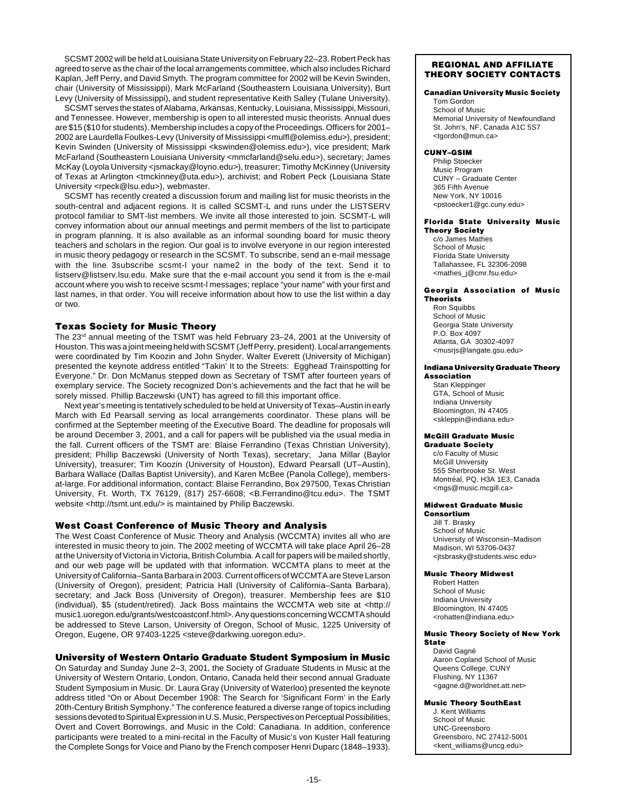SCSMT 2002 will be held at Louisiana State University on February 22–23. Robert Peck has agreed to serve as the chair of the local arrangements committee, which also includes Richard Kaplan, Jeff Perry, and David Smyth. The program committee for 2002 will be Kevin Swinden, chair (University of Mississippi), Mark McFarland (Southeastern Louisiana University), Burt Levy (University of Mississippi), and student representative Keith Salley (Tulane University).

SCSMT serves the states of Alabama, Arkansas, Kentucky, Louisiana, Mississippi, Missouri, and Tennessee. However, membership is open to all interested music theorists. Annual dues are \$15 (\$10 for students). Membership includes a copy of the Proceedings. Officers for 2001– 2002 are Laurdella Foulkes-Levy (University of Mississippi <mulfl@olemiss.edu>), president; Kevin Swinden (University of Mississippi <kswinden@olemiss.edu>), vice president; Mark McFarland (Southeastern Louisiana University <mmcfarland@selu.edu>), secretary; James McKay (Loyola University <ismackay@loyno.edu>), treasurer; Timothy McKinney (University of Texas at Arlington <tmckinney@uta.edu>), archivist; and Robert Peck (Louisiana State University <rpeck@lsu.edu>), webmaster.

SCSMT has recently created a discussion forum and mailing list for music theorists in the south-central and adjacent regions. It is called SCSMT-L and runs under the LISTSERV protocol familiar to SMT-list members. We invite all those interested to join. SCSMT-L will convey information about our annual meetings and permit members of the list to participate in program planning. It is also available as an informal sounding board for music theory teachers and scholars in the region. Our goal is to involve everyone in our region interested in music theory pedagogy or research in the SCSMT. To subscribe, send an e-mail message with the line 3subscribe scsmt-l your name2 in the body of the text. Send it to listserv@listserv.lsu.edu. Make sure that the e-mail account you send it from is the e-mail account where you wish to receive scsmt-l messages; replace "your name" with your first and last names, in that order. You will receive information about how to use the list within a day or two.

## **Texas Society for Music Theory**

The 23<sup>rd</sup> annual meeting of the TSMT was held February 23–24, 2001 at the University of Houston. This was a joint meeing held with SCSMT (Jeff Perry, president). Local arrangements were coordinated by Tim Koozin and John Snyder. Walter Everett (University of Michigan) presented the keynote address entitled "Takin' It to the Streets: Egghead Trainspotting for Everyone." Dr. Don McManus stepped down as Secretary of TSMT after fourteen years of exemplary service. The Society recognized Don's achievements and the fact that he will be sorely missed. Phillip Baczewski (UNT) has agreed to fill this important office.

Next year's meeting is tentatively scheduled to be held at University of Texas–Austin in early March with Ed Pearsall serving as local arrangements coordinator. These plans will be confirmed at the September meeting of the Executive Board. The deadline for proposals will be around December 3, 2001, and a call for papers will be published via the usual media in the fall. Current officers of the TSMT are: Blaise Ferrandino (Texas Christian University), president; Phillip Baczewski (University of North Texas), secretary; Jana Millar (Baylor University), treasurer; Tim Koozin (University of Houston), Edward Pearsall (UT–Austin), Barbara Wallace (Dallas Baptist University), and Karen McBee (Panola College), membersat-large. For additional information, contact: Blaise Ferrandino, Box 297500, Texas Christian University, Ft. Worth, TX 76129, (817) 257-6608; <B.Ferrandino@tcu.edu>. The TSMT website <http://tsmt.unt.edu/> is maintained by Philip Baczewski.

### **West Coast Conference of Music Theory and Analysis**

The West Coast Conference of Music Theory and Analysis (WCCMTA) invites all who are interested in music theory to join. The 2002 meeting of WCCMTA will take place April 26–28 at the University of Victoria in Victoria, British Columbia. A call for papers will be mailed shortly, and our web page will be updated with that information. WCCMTA plans to meet at the University of California–Santa Barbara in 2003. Current officers of WCCMTA are Steve Larson (University of Oregon), president; Patricia Hall (University of California–Santa Barbara), secretary; and Jack Boss (University of Oregon), treasurer. Membership fees are \$10 (individual), \$5 (student/retired). Jack Boss maintains the WCCMTA web site at <http:// music1.uoregon.edu/grants/westcoastconf.html>. Any questions concerning WCCMTA should be addressed to Steve Larson, University of Oregon, School of Music, 1225 University of Oregon, Eugene, OR 97403-1225 <steve@darkwing.uoregon.edu>.

### **University of Western Ontario Graduate Student Symposium in Music**

On Saturday and Sunday June 2–3, 2001, the Society of Graduate Students in Music at the University of Western Ontario, London, Ontario, Canada held their second annual Graduate Student Symposium in Music. Dr. Laura Gray (University of Waterloo) presented the keynote address titled "On or About December 1908: The Search for 'Significant Form' in the Early 20th-Century British Symphony." The conference featured a diverse range of topics including sessions devoted to Spiritual Expression in U.S. Music, Perspectives on Perceptual Possibilities, Overt and Covert Borrowings, and Music in the Cold: Canadiana. In addition, conference participants were treated to a mini-recital in the Faculty of Music's von Kuster Hall featuring the Complete Songs for Voice and Piano by the French composer Henri Duparc (1848–1933).

### **REGIONAL AND AFFILIATE THEORY SOCIETY CONTACTS**

### **Canadian University Music Society**

Tom Gordon School of Music Memorial University of Newfoundland St. John's, NF, Canada A1C 5S7 <tgordon@mun.ca>

### **CUNY–GSIM**

Philip Stoecker Music Program CUNY – Graduate Center 365 Fifth Avenue New York, NY 10016 <pstoecker1@gc.cuny.edu>

### **Florida State University Music Theory Society**

c/o James Mathes School of Music Florida State University Tallahassee, FL 32306-2098 <mathes\_j@cmr.fsu.edu>

### **Georgia Association of Music Theorists**

Ron Squibbs School of Music Georgia State University P.O. Box 4097 Atlanta, GA 30302-4097 <musrjs@langate.gsu.edu>

### **Indiana University Graduate Theory Association**

Stan Kleppinger GTA, School of Music Indiana University Bloomington, IN 47405 <skleppin@indiana.edu>

### **McGill Graduate Music**

**Graduate Society** c/o Faculty of Music McGill University 555 Sherbrooke St. West Montréal, PQ, H3A 1E3, Canada <mgs@music.mcgill.ca>

### **Midwest Graduate Music**

**Consortium** Jill T. Brasky School of Music University of Wisconsin–Madison Madison, WI 53706-0437 <jtsbrasky@students.wisc.edu>

### **Music Theory Midwest**

Robert Hatten School of Music Indiana University Bloomington, IN 47405 <rohatten@indiana.edu>

### **Music Theory Society of New York State**

David Gagné Aaron Copland School of Music Queens College, CUNY Flushing, NY 11367 <gagne.d@worldnet.att.net>

### **Music Theory SouthEast**

J. Kent Williams School of Music UNC-Greensboro Greensboro, NC 27412-5001 <kent\_williams@uncg.edu>